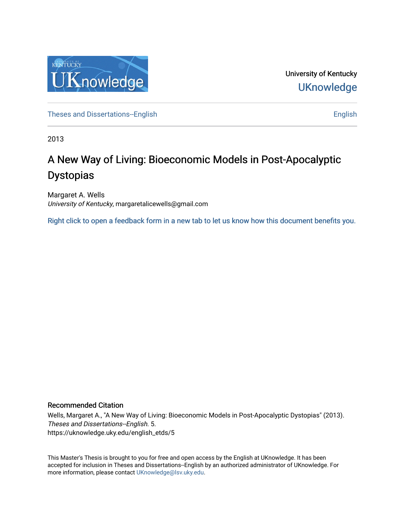

University of Kentucky **UKnowledge** 

[Theses and Dissertations--English](https://uknowledge.uky.edu/english_etds) [English](https://uknowledge.uky.edu/english) English English English

2013

# A New Way of Living: Bioeconomic Models in Post-Apocalyptic Dystopias

Margaret A. Wells University of Kentucky, margaretalicewells@gmail.com

[Right click to open a feedback form in a new tab to let us know how this document benefits you.](https://uky.az1.qualtrics.com/jfe/form/SV_9mq8fx2GnONRfz7)

#### Recommended Citation

Wells, Margaret A., "A New Way of Living: Bioeconomic Models in Post-Apocalyptic Dystopias" (2013). Theses and Dissertations--English. 5. https://uknowledge.uky.edu/english\_etds/5

This Master's Thesis is brought to you for free and open access by the English at UKnowledge. It has been accepted for inclusion in Theses and Dissertations--English by an authorized administrator of UKnowledge. For more information, please contact [UKnowledge@lsv.uky.edu](mailto:UKnowledge@lsv.uky.edu).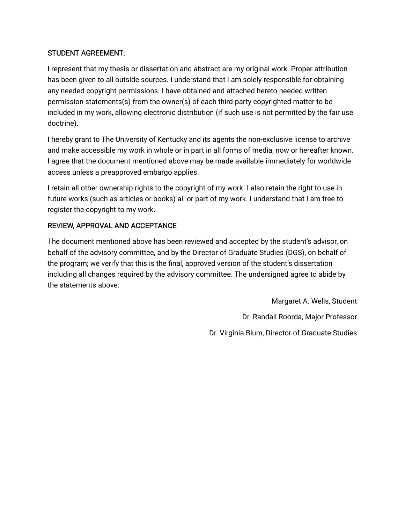## STUDENT AGREEMENT:

I represent that my thesis or dissertation and abstract are my original work. Proper attribution has been given to all outside sources. I understand that I am solely responsible for obtaining any needed copyright permissions. I have obtained and attached hereto needed written permission statements(s) from the owner(s) of each third-party copyrighted matter to be included in my work, allowing electronic distribution (if such use is not permitted by the fair use doctrine).

I hereby grant to The University of Kentucky and its agents the non-exclusive license to archive and make accessible my work in whole or in part in all forms of media, now or hereafter known. I agree that the document mentioned above may be made available immediately for worldwide access unless a preapproved embargo applies.

I retain all other ownership rights to the copyright of my work. I also retain the right to use in future works (such as articles or books) all or part of my work. I understand that I am free to register the copyright to my work.

## REVIEW, APPROVAL AND ACCEPTANCE

The document mentioned above has been reviewed and accepted by the student's advisor, on behalf of the advisory committee, and by the Director of Graduate Studies (DGS), on behalf of the program; we verify that this is the final, approved version of the student's dissertation including all changes required by the advisory committee. The undersigned agree to abide by the statements above.

> Margaret A. Wells, Student Dr. Randall Roorda, Major Professor Dr. Virginia Blum, Director of Graduate Studies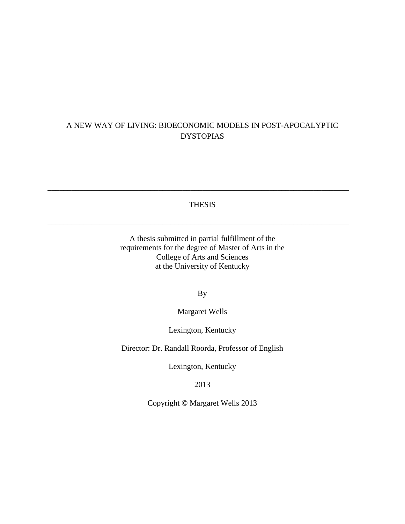# A NEW WAY OF LIVING: BIOECONOMIC MODELS IN POST-APOCALYPTIC DYSTOPIAS

#### THESIS

\_\_\_\_\_\_\_\_\_\_\_\_\_\_\_\_\_\_\_\_\_\_\_\_\_\_\_\_\_\_\_\_\_\_\_\_\_\_\_\_\_\_\_\_\_\_\_\_\_\_\_\_\_\_\_\_\_\_\_\_\_\_\_\_\_\_\_\_\_\_\_\_\_\_\_\_

\_\_\_\_\_\_\_\_\_\_\_\_\_\_\_\_\_\_\_\_\_\_\_\_\_\_\_\_\_\_\_\_\_\_\_\_\_\_\_\_\_\_\_\_\_\_\_\_\_\_\_\_\_\_\_\_\_\_\_\_\_\_\_\_\_\_\_\_\_\_\_\_\_\_\_\_

A thesis submitted in partial fulfillment of the requirements for the degree of Master of Arts in the College of Arts and Sciences at the University of Kentucky

By

Margaret Wells

Lexington, Kentucky

Director: Dr. Randall Roorda, Professor of English

Lexington, Kentucky

2013

Copyright © Margaret Wells 2013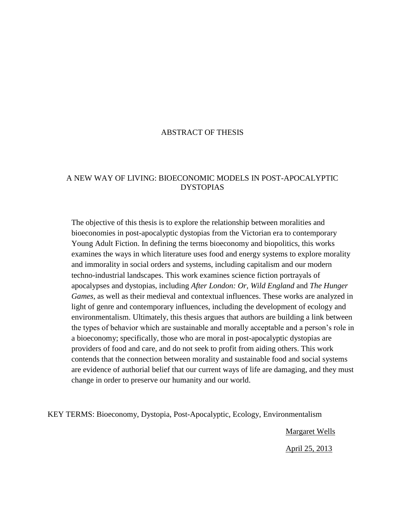## ABSTRACT OF THESIS

#### A NEW WAY OF LIVING: BIOECONOMIC MODELS IN POST-APOCALYPTIC **DYSTOPIAS**

The objective of this thesis is to explore the relationship between moralities and bioeconomies in post-apocalyptic dystopias from the Victorian era to contemporary Young Adult Fiction. In defining the terms bioeconomy and biopolitics, this works examines the ways in which literature uses food and energy systems to explore morality and immorality in social orders and systems, including capitalism and our modern techno-industrial landscapes. This work examines science fiction portrayals of apocalypses and dystopias, including *After London: Or, Wild England* and *The Hunger Games*, as well as their medieval and contextual influences. These works are analyzed in light of genre and contemporary influences, including the development of ecology and environmentalism. Ultimately, this thesis argues that authors are building a link between the types of behavior which are sustainable and morally acceptable and a person's role in a bioeconomy; specifically, those who are moral in post-apocalyptic dystopias are providers of food and care, and do not seek to profit from aiding others. This work contends that the connection between morality and sustainable food and social systems are evidence of authorial belief that our current ways of life are damaging, and they must change in order to preserve our humanity and our world.

KEY TERMS: Bioeconomy, Dystopia, Post-Apocalyptic, Ecology, Environmentalism

Margaret Wells

April 25, 2013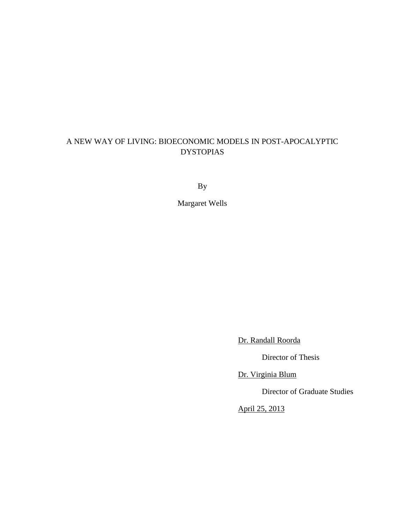# A NEW WAY OF LIVING: BIOECONOMIC MODELS IN POST-APOCALYPTIC DYSTOPIAS

By

Margaret Wells

Dr. Randall Roorda

Director of Thesis

Dr. Virginia Blum

Director of Graduate Studies

April 25, 2013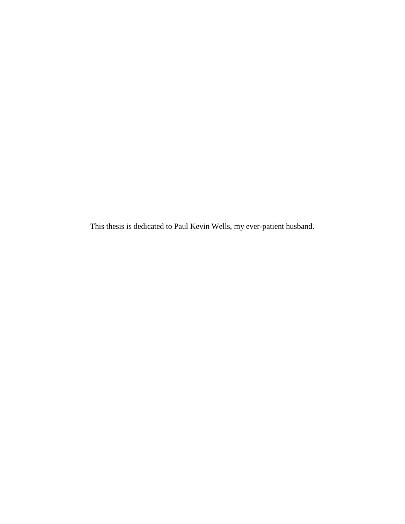This thesis is dedicated to Paul Kevin Wells, my ever-patient husband.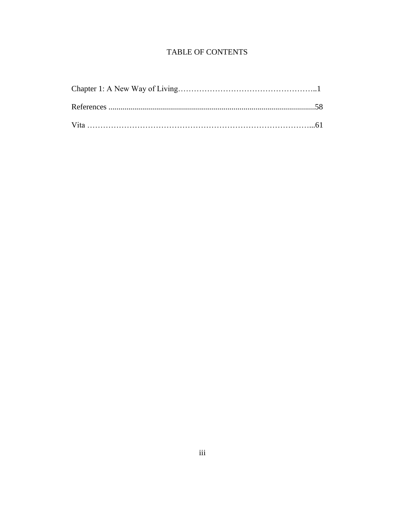# **TABLE OF CONTENTS**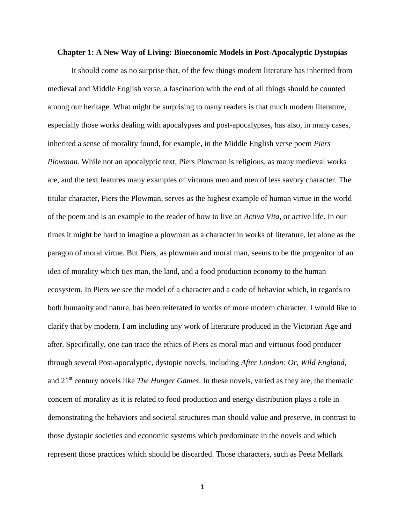#### **Chapter 1: A New Way of Living: Bioeconomic Models in Post-Apocalyptic Dystopias**

It should come as no surprise that, of the few things modern literature has inherited from medieval and Middle English verse, a fascination with the end of all things should be counted among our heritage. What might be surprising to many readers is that much modern literature, especially those works dealing with apocalypses and post-apocalypses, has also, in many cases, inherited a sense of morality found, for example, in the Middle English verse poem *Piers Plowman*. While not an apocalyptic text, Piers Plowman is religious, as many medieval works are, and the text features many examples of virtuous men and men of less savory character. The titular character, Piers the Plowman, serves as the highest example of human virtue in the world of the poem and is an example to the reader of how to live an *Activa Vita*, or active life. In our times it might be hard to imagine a plowman as a character in works of literature, let alone as the paragon of moral virtue. But Piers, as plowman and moral man, seems to be the progenitor of an idea of morality which ties man, the land, and a food production economy to the human ecosystem. In Piers we see the model of a character and a code of behavior which, in regards to both humanity and nature, has been reiterated in works of more modern character. I would like to clarify that by modern, I am including any work of literature produced in the Victorian Age and after. Specifically, one can trace the ethics of Piers as moral man and virtuous food producer through several Post-apocalyptic, dystopic novels, including *After London: Or, Wild England*, and 21st century novels like *The Hunger Games*. In these novels, varied as they are, the thematic concern of morality as it is related to food production and energy distribution plays a role in demonstrating the behaviors and societal structures man should value and preserve, in contrast to those dystopic societies and economic systems which predominate in the novels and which represent those practices which should be discarded. Those characters, such as Peeta Mellark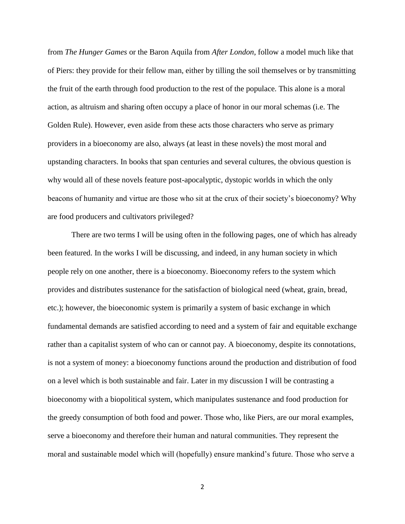from *The Hunger Games* or the Baron Aquila from *After London*, follow a model much like that of Piers: they provide for their fellow man, either by tilling the soil themselves or by transmitting the fruit of the earth through food production to the rest of the populace. This alone is a moral action, as altruism and sharing often occupy a place of honor in our moral schemas (i.e. The Golden Rule). However, even aside from these acts those characters who serve as primary providers in a bioeconomy are also, always (at least in these novels) the most moral and upstanding characters. In books that span centuries and several cultures, the obvious question is why would all of these novels feature post-apocalyptic, dystopic worlds in which the only beacons of humanity and virtue are those who sit at the crux of their society's bioeconomy? Why are food producers and cultivators privileged?

There are two terms I will be using often in the following pages, one of which has already been featured. In the works I will be discussing, and indeed, in any human society in which people rely on one another, there is a bioeconomy. Bioeconomy refers to the system which provides and distributes sustenance for the satisfaction of biological need (wheat, grain, bread, etc.); however, the bioeconomic system is primarily a system of basic exchange in which fundamental demands are satisfied according to need and a system of fair and equitable exchange rather than a capitalist system of who can or cannot pay. A bioeconomy, despite its connotations, is not a system of money: a bioeconomy functions around the production and distribution of food on a level which is both sustainable and fair. Later in my discussion I will be contrasting a bioeconomy with a biopolitical system, which manipulates sustenance and food production for the greedy consumption of both food and power. Those who, like Piers, are our moral examples, serve a bioeconomy and therefore their human and natural communities. They represent the moral and sustainable model which will (hopefully) ensure mankind's future. Those who serve a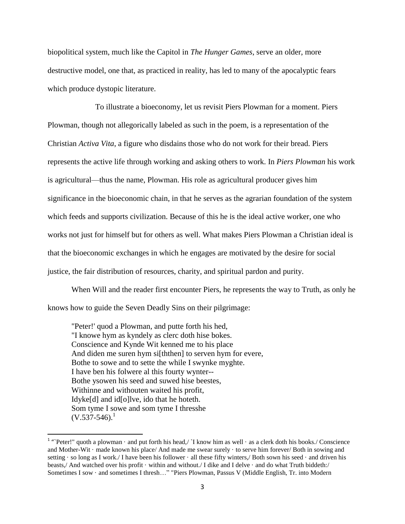biopolitical system, much like the Capitol in *The Hunger Games*, serve an older, more destructive model, one that, as practiced in reality, has led to many of the apocalyptic fears which produce dystopic literature.

To illustrate a bioeconomy, let us revisit Piers Plowman for a moment. Piers Plowman, though not allegorically labeled as such in the poem, is a representation of the Christian *Activa Vita*, a figure who disdains those who do not work for their bread. Piers represents the active life through working and asking others to work. In *Piers Plowman* his work is agricultural—thus the name, Plowman. His role as agricultural producer gives him significance in the bioeconomic chain, in that he serves as the agrarian foundation of the system which feeds and supports civilization. Because of this he is the ideal active worker, one who works not just for himself but for others as well. What makes Piers Plowman a Christian ideal is that the bioeconomic exchanges in which he engages are motivated by the desire for social justice, the fair distribution of resources, charity, and spiritual pardon and purity.

When Will and the reader first encounter Piers, he represents the way to Truth, as only he knows how to guide the Seven Deadly Sins on their pilgrimage:

"Peter!' quod a Plowman, and putte forth his hed, "I knowe hym as kyndely as clerc doth hise bokes. Conscience and Kynde Wit kenned me to his place And diden me suren hym si[ththen] to serven hym for evere, Bothe to sowe and to sette the while I swynke myghte. I have ben his folwere al this fourty wynter-- Bothe ysowen his seed and suwed hise beestes, Withinne and withouten waited his profit, Idyke[d] and id[o]lve, ido that he hoteth. Som tyme I sowe and som tyme I thresshe  $(V.537-546).$ <sup>1</sup>

<sup>&</sup>lt;sup>1</sup> "Peter!" quoth a plowman · and put forth his head,/ `I know him as well · as a clerk doth his books./ Conscience and Mother-Wit · made known his place/ And made me swear surely · to serve him forever/ Both in sowing and setting · so long as I work./ I have been his follower · all these fifty winters,/ Both sown his seed · and driven his beasts,/ And watched over his profit · within and without./ I dike and I delve · and do what Truth biddeth:/ Sometimes I sow · and sometimes I thresh…" "Piers Plowman, Passus V (Middle English, Tr. into Modern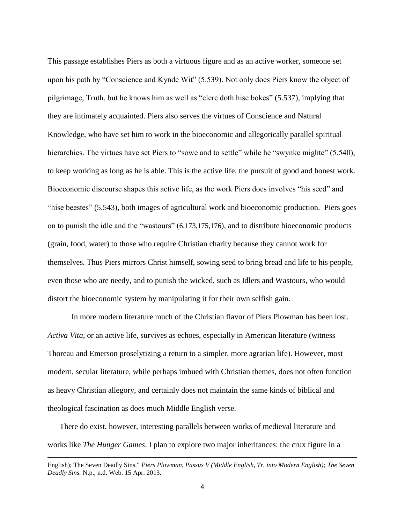This passage establishes Piers as both a virtuous figure and as an active worker, someone set upon his path by "Conscience and Kynde Wit" (5.539). Not only does Piers know the object of pilgrimage, Truth, but he knows him as well as "clerc doth hise bokes" (5.537), implying that they are intimately acquainted. Piers also serves the virtues of Conscience and Natural Knowledge, who have set him to work in the bioeconomic and allegorically parallel spiritual hierarchies. The virtues have set Piers to "sowe and to settle" while he "swynke mighte" (5.540), to keep working as long as he is able. This is the active life, the pursuit of good and honest work. Bioeconomic discourse shapes this active life, as the work Piers does involves "his seed" and "hise beestes" (5.543), both images of agricultural work and bioeconomic production. Piers goes on to punish the idle and the "wastours" (6.173,175,176), and to distribute bioeconomic products (grain, food, water) to those who require Christian charity because they cannot work for themselves. Thus Piers mirrors Christ himself, sowing seed to bring bread and life to his people, even those who are needy, and to punish the wicked, such as Idlers and Wastours, who would distort the bioeconomic system by manipulating it for their own selfish gain.

In more modern literature much of the Christian flavor of Piers Plowman has been lost. *Activa Vita*, or an active life, survives as echoes, especially in American literature (witness Thoreau and Emerson proselytizing a return to a simpler, more agrarian life). However, most modern, secular literature, while perhaps imbued with Christian themes, does not often function as heavy Christian allegory, and certainly does not maintain the same kinds of biblical and theological fascination as does much Middle English verse.

There do exist, however, interesting parallels between works of medieval literature and works like *The Hunger Games*. I plan to explore two major inheritances: the crux figure in a

 $\overline{\phantom{a}}$ 

English); The Seven Deadly Sins." *Piers Plowman, Passus V (Middle English, Tr. into Modern English); The Seven Deadly Sins.* N.p., n.d. Web. 15 Apr. 2013.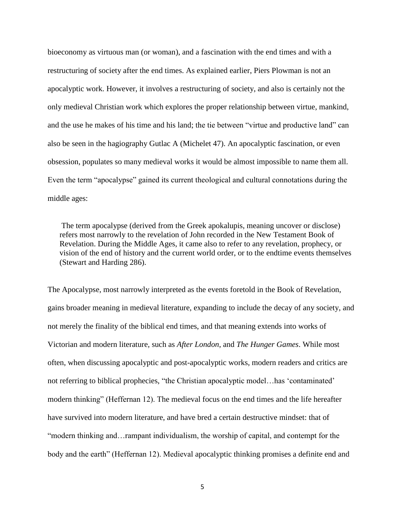bioeconomy as virtuous man (or woman), and a fascination with the end times and with a restructuring of society after the end times. As explained earlier, Piers Plowman is not an apocalyptic work. However, it involves a restructuring of society, and also is certainly not the only medieval Christian work which explores the proper relationship between virtue, mankind, and the use he makes of his time and his land; the tie between "virtue and productive land" can also be seen in the hagiography Gutlac A (Michelet 47). An apocalyptic fascination, or even obsession, populates so many medieval works it would be almost impossible to name them all. Even the term "apocalypse" gained its current theological and cultural connotations during the middle ages:

The term apocalypse (derived from the Greek apokalupis, meaning uncover or disclose) refers most narrowly to the revelation of John recorded in the New Testament Book of Revelation. During the Middle Ages, it came also to refer to any revelation, prophecy, or vision of the end of history and the current world order, or to the endtime events themselves (Stewart and Harding 286).

The Apocalypse, most narrowly interpreted as the events foretold in the Book of Revelation, gains broader meaning in medieval literature, expanding to include the decay of any society, and not merely the finality of the biblical end times, and that meaning extends into works of Victorian and modern literature, such as *After London*, and *The Hunger Games*. While most often, when discussing apocalyptic and post-apocalyptic works, modern readers and critics are not referring to biblical prophecies, "the Christian apocalyptic model…has 'contaminated' modern thinking" (Heffernan 12). The medieval focus on the end times and the life hereafter have survived into modern literature, and have bred a certain destructive mindset: that of "modern thinking and…rampant individualism, the worship of capital, and contempt for the body and the earth" (Heffernan 12). Medieval apocalyptic thinking promises a definite end and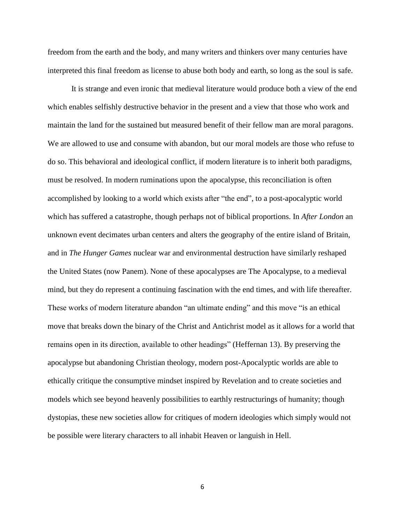freedom from the earth and the body, and many writers and thinkers over many centuries have interpreted this final freedom as license to abuse both body and earth, so long as the soul is safe.

It is strange and even ironic that medieval literature would produce both a view of the end which enables selfishly destructive behavior in the present and a view that those who work and maintain the land for the sustained but measured benefit of their fellow man are moral paragons. We are allowed to use and consume with abandon, but our moral models are those who refuse to do so. This behavioral and ideological conflict, if modern literature is to inherit both paradigms, must be resolved. In modern ruminations upon the apocalypse, this reconciliation is often accomplished by looking to a world which exists after "the end", to a post-apocalyptic world which has suffered a catastrophe, though perhaps not of biblical proportions. In *After London* an unknown event decimates urban centers and alters the geography of the entire island of Britain, and in *The Hunger Games* nuclear war and environmental destruction have similarly reshaped the United States (now Panem). None of these apocalypses are The Apocalypse, to a medieval mind, but they do represent a continuing fascination with the end times, and with life thereafter. These works of modern literature abandon "an ultimate ending" and this move "is an ethical move that breaks down the binary of the Christ and Antichrist model as it allows for a world that remains open in its direction, available to other headings" (Heffernan 13). By preserving the apocalypse but abandoning Christian theology, modern post-Apocalyptic worlds are able to ethically critique the consumptive mindset inspired by Revelation and to create societies and models which see beyond heavenly possibilities to earthly restructurings of humanity; though dystopias, these new societies allow for critiques of modern ideologies which simply would not be possible were literary characters to all inhabit Heaven or languish in Hell.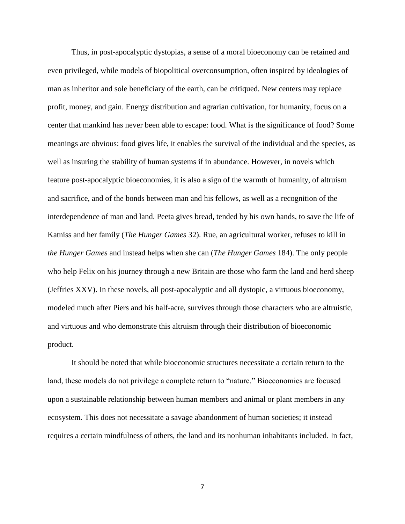Thus, in post-apocalyptic dystopias, a sense of a moral bioeconomy can be retained and even privileged, while models of biopolitical overconsumption, often inspired by ideologies of man as inheritor and sole beneficiary of the earth, can be critiqued. New centers may replace profit, money, and gain. Energy distribution and agrarian cultivation, for humanity, focus on a center that mankind has never been able to escape: food. What is the significance of food? Some meanings are obvious: food gives life, it enables the survival of the individual and the species, as well as insuring the stability of human systems if in abundance. However, in novels which feature post-apocalyptic bioeconomies, it is also a sign of the warmth of humanity, of altruism and sacrifice, and of the bonds between man and his fellows, as well as a recognition of the interdependence of man and land. Peeta gives bread, tended by his own hands, to save the life of Katniss and her family (*The Hunger Games* 32). Rue, an agricultural worker, refuses to kill in *the Hunger Games* and instead helps when she can (*The Hunger Games* 184). The only people who help Felix on his journey through a new Britain are those who farm the land and herd sheep (Jeffries XXV). In these novels, all post-apocalyptic and all dystopic, a virtuous bioeconomy, modeled much after Piers and his half-acre, survives through those characters who are altruistic, and virtuous and who demonstrate this altruism through their distribution of bioeconomic product.

It should be noted that while bioeconomic structures necessitate a certain return to the land, these models do not privilege a complete return to "nature." Bioeconomies are focused upon a sustainable relationship between human members and animal or plant members in any ecosystem. This does not necessitate a savage abandonment of human societies; it instead requires a certain mindfulness of others, the land and its nonhuman inhabitants included. In fact,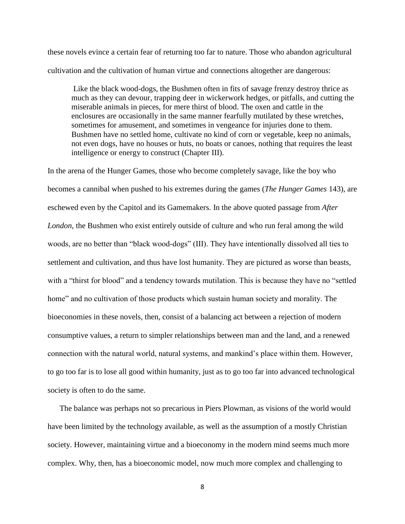these novels evince a certain fear of returning too far to nature. Those who abandon agricultural cultivation and the cultivation of human virtue and connections altogether are dangerous:

Like the black wood-dogs, the Bushmen often in fits of savage frenzy destroy thrice as much as they can devour, trapping deer in wickerwork hedges, or pitfalls, and cutting the miserable animals in pieces, for mere thirst of blood. The oxen and cattle in the enclosures are occasionally in the same manner fearfully mutilated by these wretches, sometimes for amusement, and sometimes in vengeance for injuries done to them. Bushmen have no settled home, cultivate no kind of corn or vegetable, keep no animals, not even dogs, have no houses or huts, no boats or canoes, nothing that requires the least intelligence or energy to construct (Chapter III).

In the arena of the Hunger Games, those who become completely savage, like the boy who becomes a cannibal when pushed to his extremes during the games (*The Hunger Games* 143), are eschewed even by the Capitol and its Gamemakers. In the above quoted passage from *After London*, the Bushmen who exist entirely outside of culture and who run feral among the wild woods, are no better than "black wood-dogs" (III). They have intentionally dissolved all ties to settlement and cultivation, and thus have lost humanity. They are pictured as worse than beasts, with a "thirst for blood" and a tendency towards mutilation. This is because they have no "settled home" and no cultivation of those products which sustain human society and morality. The bioeconomies in these novels, then, consist of a balancing act between a rejection of modern consumptive values, a return to simpler relationships between man and the land, and a renewed connection with the natural world, natural systems, and mankind's place within them. However, to go too far is to lose all good within humanity, just as to go too far into advanced technological society is often to do the same.

The balance was perhaps not so precarious in Piers Plowman, as visions of the world would have been limited by the technology available, as well as the assumption of a mostly Christian society. However, maintaining virtue and a bioeconomy in the modern mind seems much more complex. Why, then, has a bioeconomic model, now much more complex and challenging to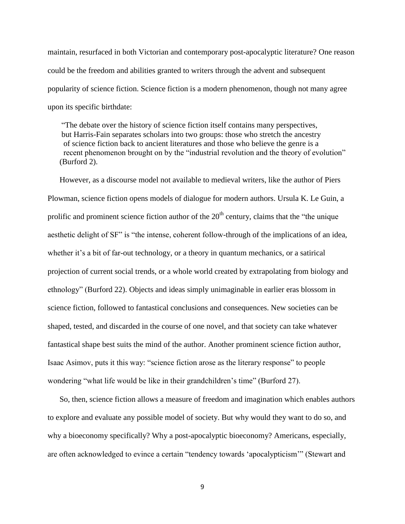maintain, resurfaced in both Victorian and contemporary post-apocalyptic literature? One reason could be the freedom and abilities granted to writers through the advent and subsequent popularity of science fiction. Science fiction is a modern phenomenon, though not many agree upon its specific birthdate:

"The debate over the history of science fiction itself contains many perspectives, but Harris-Fain separates scholars into two groups: those who stretch the ancestry of science fiction back to ancient literatures and those who believe the genre is a recent phenomenon brought on by the "industrial revolution and the theory of evolution" (Burford 2).

However, as a discourse model not available to medieval writers, like the author of Piers Plowman, science fiction opens models of dialogue for modern authors. Ursula K. Le Guin, a prolific and prominent science fiction author of the 20<sup>th</sup> century, claims that the "the unique aesthetic delight of SF" is "the intense, coherent follow-through of the implications of an idea, whether it's a bit of far-out technology, or a theory in quantum mechanics, or a satirical projection of current social trends, or a whole world created by extrapolating from biology and ethnology" (Burford 22). Objects and ideas simply unimaginable in earlier eras blossom in science fiction, followed to fantastical conclusions and consequences. New societies can be shaped, tested, and discarded in the course of one novel, and that society can take whatever fantastical shape best suits the mind of the author. Another prominent science fiction author, Isaac Asimov, puts it this way: "science fiction arose as the literary response" to people wondering "what life would be like in their grandchildren's time" (Burford 27).

So, then, science fiction allows a measure of freedom and imagination which enables authors to explore and evaluate any possible model of society. But why would they want to do so, and why a bioeconomy specifically? Why a post-apocalyptic bioeconomy? Americans, especially, are often acknowledged to evince a certain "tendency towards 'apocalypticism'" (Stewart and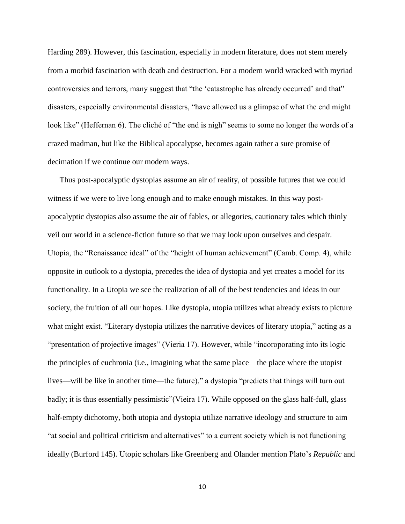Harding 289). However, this fascination, especially in modern literature, does not stem merely from a morbid fascination with death and destruction. For a modern world wracked with myriad controversies and terrors, many suggest that "the 'catastrophe has already occurred' and that" disasters, especially environmental disasters, "have allowed us a glimpse of what the end might look like" (Heffernan 6). The cliché of "the end is nigh" seems to some no longer the words of a crazed madman, but like the Biblical apocalypse, becomes again rather a sure promise of decimation if we continue our modern ways.

Thus post-apocalyptic dystopias assume an air of reality, of possible futures that we could witness if we were to live long enough and to make enough mistakes. In this way postapocalyptic dystopias also assume the air of fables, or allegories, cautionary tales which thinly veil our world in a science-fiction future so that we may look upon ourselves and despair. Utopia, the "Renaissance ideal" of the "height of human achievement" (Camb. Comp. 4), while opposite in outlook to a dystopia, precedes the idea of dystopia and yet creates a model for its functionality. In a Utopia we see the realization of all of the best tendencies and ideas in our society, the fruition of all our hopes. Like dystopia, utopia utilizes what already exists to picture what might exist. "Literary dystopia utilizes the narrative devices of literary utopia," acting as a "presentation of projective images" (Vieria 17). However, while "incoroporating into its logic the principles of euchronia (i.e., imagining what the same place—the place where the utopist lives—will be like in another time—the future)," a dystopia "predicts that things will turn out badly; it is thus essentially pessimistic"(Vieira 17). While opposed on the glass half-full, glass half-empty dichotomy, both utopia and dystopia utilize narrative ideology and structure to aim "at social and political criticism and alternatives" to a current society which is not functioning ideally (Burford 145). Utopic scholars like Greenberg and Olander mention Plato's *Republic* and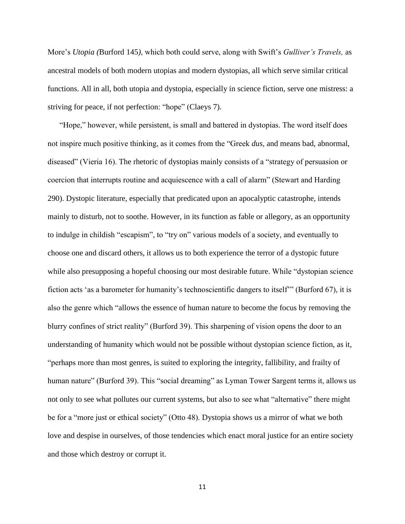More's *Utopia (*Burford 145*)*, which both could serve, along with Swift's *Gulliver's Travels,* as ancestral models of both modern utopias and modern dystopias, all which serve similar critical functions. All in all, both utopia and dystopia, especially in science fiction, serve one mistress: a striving for peace, if not perfection: "hope" (Claeys 7).

"Hope," however, while persistent, is small and battered in dystopias. The word itself does not inspire much positive thinking, as it comes from the "Greek *dus*, and means bad, abnormal, diseased" (Vieria 16). The rhetoric of dystopias mainly consists of a "strategy of persuasion or coercion that interrupts routine and acquiescence with a call of alarm" (Stewart and Harding 290). Dystopic literature, especially that predicated upon an apocalyptic catastrophe, intends mainly to disturb, not to soothe. However, in its function as fable or allegory, as an opportunity to indulge in childish "escapism", to "try on" various models of a society, and eventually to choose one and discard others, it allows us to both experience the terror of a dystopic future while also presupposing a hopeful choosing our most desirable future. While "dystopian science" fiction acts 'as a barometer for humanity's technoscientific dangers to itself'" (Burford 67), it is also the genre which "allows the essence of human nature to become the focus by removing the blurry confines of strict reality" (Burford 39). This sharpening of vision opens the door to an understanding of humanity which would not be possible without dystopian science fiction, as it, "perhaps more than most genres, is suited to exploring the integrity, fallibility, and frailty of human nature" (Burford 39). This "social dreaming" as Lyman Tower Sargent terms it, allows us not only to see what pollutes our current systems, but also to see what "alternative" there might be for a "more just or ethical society" (Otto 48). Dystopia shows us a mirror of what we both love and despise in ourselves, of those tendencies which enact moral justice for an entire society and those which destroy or corrupt it.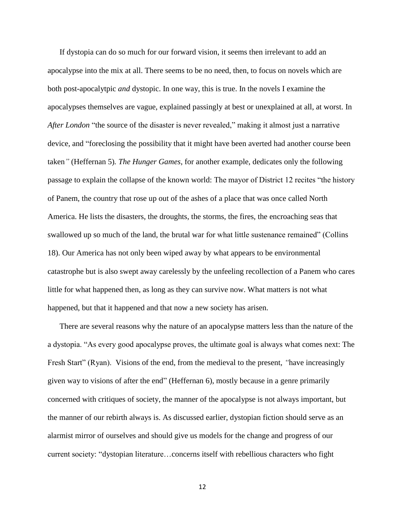If dystopia can do so much for our forward vision, it seems then irrelevant to add an apocalypse into the mix at all. There seems to be no need, then, to focus on novels which are both post-apocalytpic *and* dystopic. In one way, this is true. In the novels I examine the apocalypses themselves are vague, explained passingly at best or unexplained at all, at worst. In *After London* "the source of the disaster is never revealed," making it almost just a narrative device, and "foreclosing the possibility that it might have been averted had another course been taken*"* (Heffernan 5)*. The Hunger Games*, for another example, dedicates only the following passage to explain the collapse of the known world: The mayor of District 12 recites "the history of Panem, the country that rose up out of the ashes of a place that was once called North America. He lists the disasters, the droughts, the storms, the fires, the encroaching seas that swallowed up so much of the land, the brutal war for what little sustenance remained" (Collins 18). Our America has not only been wiped away by what appears to be environmental catastrophe but is also swept away carelessly by the unfeeling recollection of a Panem who cares little for what happened then, as long as they can survive now. What matters is not what happened, but that it happened and that now a new society has arisen.

There are several reasons why the nature of an apocalypse matters less than the nature of the a dystopia. "As every good apocalypse proves, the ultimate goal is always what comes next: The Fresh Start" (Ryan). Visions of the end, from the medieval to the present, *"*have increasingly given way to visions of after the end" (Heffernan 6), mostly because in a genre primarily concerned with critiques of society, the manner of the apocalypse is not always important, but the manner of our rebirth always is. As discussed earlier, dystopian fiction should serve as an alarmist mirror of ourselves and should give us models for the change and progress of our current society: "dystopian literature…concerns itself with rebellious characters who fight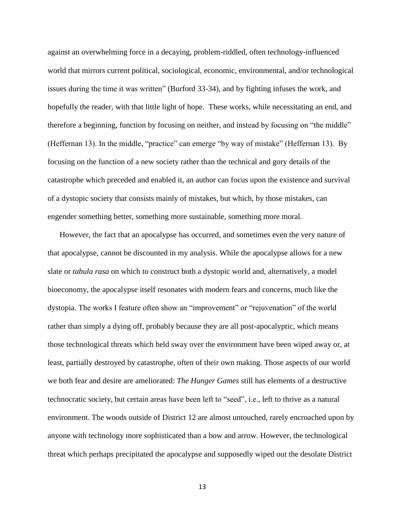against an overwhelming force in a decaying, problem-riddled, often technology-influenced world that mirrors current political, sociological, economic, environmental, and/or technological issues during the time it was written" (Burford 33-34), and by fighting infuses the work, and hopefully the reader, with that little light of hope. These works, while necessitating an end, and therefore a beginning, function by focusing on neither, and instead by focusing on "the middle" (Heffernan 13). In the middle, "practice" can emerge "by way of mistake" (Heffernan 13). By focusing on the function of a new society rather than the technical and gory details of the catastrophe which preceded and enabled it, an author can focus upon the existence and survival of a dystopic society that consists mainly of mistakes, but which, by those mistakes, can engender something better, something more sustainable, something more moral.

However, the fact that an apocalypse has occurred, and sometimes even the very nature of that apocalypse, cannot be discounted in my analysis. While the apocalypse allows for a new slate or *tabula rasa* on which to construct both a dystopic world and, alternatively, a model bioeconomy, the apocalypse itself resonates with modern fears and concerns, much like the dystopia. The works I feature often show an "improvement" or "rejuvenation" of the world rather than simply a dying off, probably because they are all post-apocalyptic, which means those technological threats which held sway over the environment have been wiped away or, at least, partially destroyed by catastrophe, often of their own making. Those aspects of our world we both fear and desire are ameliorated: *The Hunger Games* still has elements of a destructive technocratic society, but certain areas have been left to "seed", i.e., left to thrive as a natural environment. The woods outside of District 12 are almost untouched, rarely encroached upon by anyone with technology more sophisticated than a bow and arrow. However, the technological threat which perhaps precipitated the apocalypse and supposedly wiped out the desolate District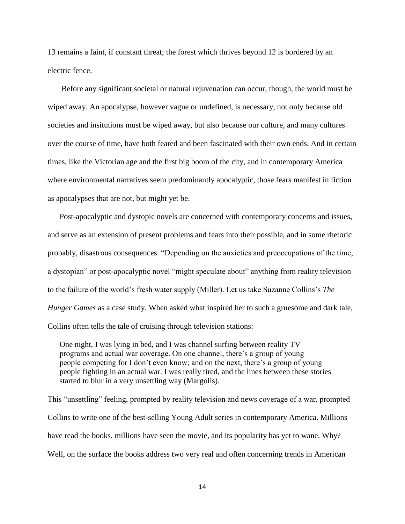13 remains a faint, if constant threat; the forest which thrives beyond 12 is bordered by an electric fence.

Before any significant societal or natural rejuvenation can occur, though, the world must be wiped away. An apocalypse, however vague or undefined, is necessary, not only because old societies and insitutions must be wiped away, but also because our culture, and many cultures over the course of time, have both feared and been fascinated with their own ends. And in certain times, like the Victorian age and the first big boom of the city, and in contemporary America where environmental narratives seem predominantly apocalyptic, those fears manifest in fiction as apocalypses that are not, but might yet be.

Post-apocalyptic and dystopic novels are concerned with contemporary concerns and issues, and serve as an extension of present problems and fears into their possible, and in some rhetoric probably, disastrous consequences. "Depending on the anxieties and preoccupations of the time, a dystopian" or post-apocalyptic novel "might speculate about" anything from reality television to the failure of the world's fresh water supply (Miller). Let us take Suzanne Collins's *The Hunger Games* as a case study. When asked what inspired her to such a gruesome and dark tale, Collins often tells the tale of cruising through television stations:

One night, I was lying in bed, and I was channel surfing between reality TV programs and actual war coverage. On one channel, there's a group of young people competing for I don't even know; and on the next, there's a group of young people fighting in an actual war. I was really tired, and the lines between these stories started to blur in a very unsettling way (Margolis).

This "unsettling" feeling, prompted by reality television and news coverage of a war, prompted Collins to write one of the best-selling Young Adult series in contemporary America. Millions have read the books, millions have seen the movie, and its popularity has yet to wane. Why? Well, on the surface the books address two very real and often concerning trends in American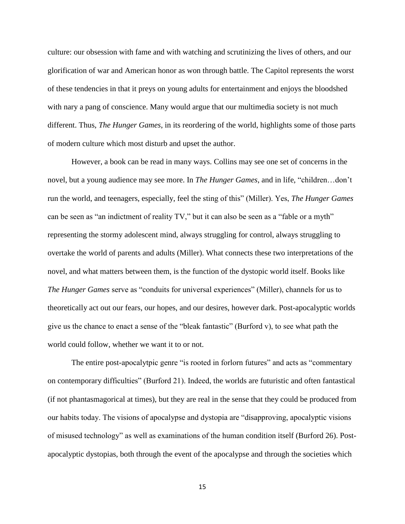culture: our obsession with fame and with watching and scrutinizing the lives of others, and our glorification of war and American honor as won through battle. The Capitol represents the worst of these tendencies in that it preys on young adults for entertainment and enjoys the bloodshed with nary a pang of conscience. Many would argue that our multimedia society is not much different. Thus, *The Hunger Games*, in its reordering of the world, highlights some of those parts of modern culture which most disturb and upset the author.

However, a book can be read in many ways. Collins may see one set of concerns in the novel, but a young audience may see more. In *The Hunger Games*, and in life, "children…don't run the world, and teenagers, especially, feel the sting of this" (Miller). Yes, *The Hunger Games* can be seen as "an indictment of reality TV," but it can also be seen as a "fable or a myth" representing the stormy adolescent mind, always struggling for control, always struggling to overtake the world of parents and adults (Miller). What connects these two interpretations of the novel, and what matters between them, is the function of the dystopic world itself. Books like *The Hunger Games* serve as "conduits for universal experiences" (Miller), channels for us to theoretically act out our fears, our hopes, and our desires, however dark. Post-apocalyptic worlds give us the chance to enact a sense of the "bleak fantastic" (Burford v), to see what path the world could follow, whether we want it to or not.

The entire post-apocalytpic genre "is rooted in forlorn futures" and acts as "commentary on contemporary difficulties" (Burford 21). Indeed, the worlds are futuristic and often fantastical (if not phantasmagorical at times), but they are real in the sense that they could be produced from our habits today. The visions of apocalypse and dystopia are "disapproving, apocalyptic visions of misused technology" as well as examinations of the human condition itself (Burford 26). Postapocalyptic dystopias, both through the event of the apocalypse and through the societies which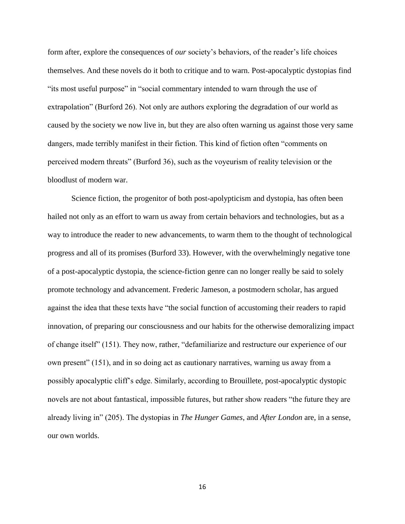form after, explore the consequences of *our* society's behaviors, of the reader's life choices themselves. And these novels do it both to critique and to warn. Post-apocalyptic dystopias find "its most useful purpose" in "social commentary intended to warn through the use of extrapolation" (Burford 26). Not only are authors exploring the degradation of our world as caused by the society we now live in, but they are also often warning us against those very same dangers, made terribly manifest in their fiction. This kind of fiction often "comments on perceived modern threats" (Burford 36), such as the voyeurism of reality television or the bloodlust of modern war.

Science fiction, the progenitor of both post-apolypticism and dystopia, has often been hailed not only as an effort to warn us away from certain behaviors and technologies, but as a way to introduce the reader to new advancements, to warm them to the thought of technological progress and all of its promises (Burford 33). However, with the overwhelmingly negative tone of a post-apocalyptic dystopia, the science-fiction genre can no longer really be said to solely promote technology and advancement. Frederic Jameson, a postmodern scholar, has argued against the idea that these texts have "the social function of accustoming their readers to rapid innovation, of preparing our consciousness and our habits for the otherwise demoralizing impact of change itself" (151). They now, rather, "defamiliarize and restructure our experience of our own present" (151), and in so doing act as cautionary narratives, warning us away from a possibly apocalyptic cliff's edge. Similarly, according to Brouillete, post-apocalyptic dystopic novels are not about fantastical, impossible futures, but rather show readers "the future they are already living in" (205). The dystopias in *The Hunger Games*, and *After London* are, in a sense, our own worlds.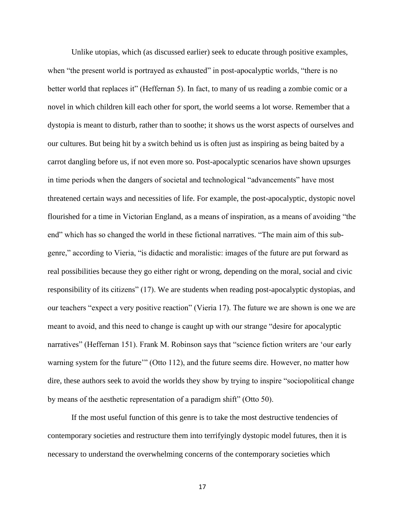Unlike utopias, which (as discussed earlier) seek to educate through positive examples, when "the present world is portrayed as exhausted" in post-apocalyptic worlds, "there is no better world that replaces it" (Heffernan 5). In fact, to many of us reading a zombie comic or a novel in which children kill each other for sport, the world seems a lot worse. Remember that a dystopia is meant to disturb, rather than to soothe; it shows us the worst aspects of ourselves and our cultures. But being hit by a switch behind us is often just as inspiring as being baited by a carrot dangling before us, if not even more so. Post-apocalyptic scenarios have shown upsurges in time periods when the dangers of societal and technological "advancements" have most threatened certain ways and necessities of life. For example, the post-apocalyptic, dystopic novel flourished for a time in Victorian England, as a means of inspiration, as a means of avoiding "the end" which has so changed the world in these fictional narratives. "The main aim of this subgenre," according to Vieria, "is didactic and moralistic: images of the future are put forward as real possibilities because they go either right or wrong, depending on the moral, social and civic responsibility of its citizens" (17). We are students when reading post-apocalyptic dystopias, and our teachers "expect a very positive reaction" (Vieria 17). The future we are shown is one we are meant to avoid, and this need to change is caught up with our strange "desire for apocalyptic narratives" (Heffernan 151). Frank M. Robinson says that "science fiction writers are 'our early warning system for the future'" (Otto 112), and the future seems dire. However, no matter how dire, these authors seek to avoid the worlds they show by trying to inspire "sociopolitical change by means of the aesthetic representation of a paradigm shift" (Otto 50).

If the most useful function of this genre is to take the most destructive tendencies of contemporary societies and restructure them into terrifyingly dystopic model futures, then it is necessary to understand the overwhelming concerns of the contemporary societies which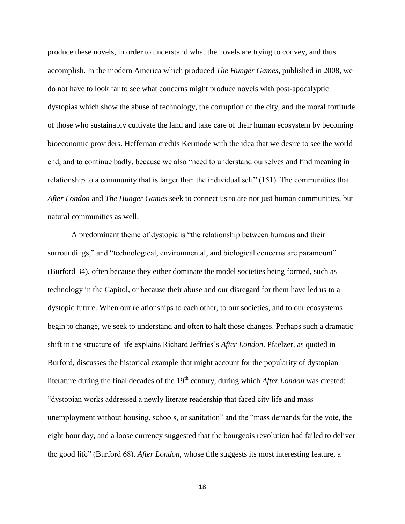produce these novels, in order to understand what the novels are trying to convey, and thus accomplish. In the modern America which produced *The Hunger Games*, published in 2008, we do not have to look far to see what concerns might produce novels with post-apocalyptic dystopias which show the abuse of technology, the corruption of the city, and the moral fortitude of those who sustainably cultivate the land and take care of their human ecosystem by becoming bioeconomic providers. Heffernan credits Kermode with the idea that we desire to see the world end, and to continue badly, because we also "need to understand ourselves and find meaning in relationship to a community that is larger than the individual self" (151). The communities that *After London* and *The Hunger Games* seek to connect us to are not just human communities, but natural communities as well.

A predominant theme of dystopia is "the relationship between humans and their surroundings," and "technological, environmental, and biological concerns are paramount" (Burford 34), often because they either dominate the model societies being formed, such as technology in the Capitol, or because their abuse and our disregard for them have led us to a dystopic future. When our relationships to each other, to our societies, and to our ecosystems begin to change, we seek to understand and often to halt those changes. Perhaps such a dramatic shift in the structure of life explains Richard Jeffries's *After London*. Pfaelzer, as quoted in Burford, discusses the historical example that might account for the popularity of dystopian literature during the final decades of the 19<sup>th</sup> century, during which *After London* was created: "dystopian works addressed a newly literate readership that faced city life and mass unemployment without housing, schools, or sanitation" and the "mass demands for the vote, the eight hour day, and a loose currency suggested that the bourgeois revolution had failed to deliver the good life" (Burford 68). *After London*, whose title suggests its most interesting feature, a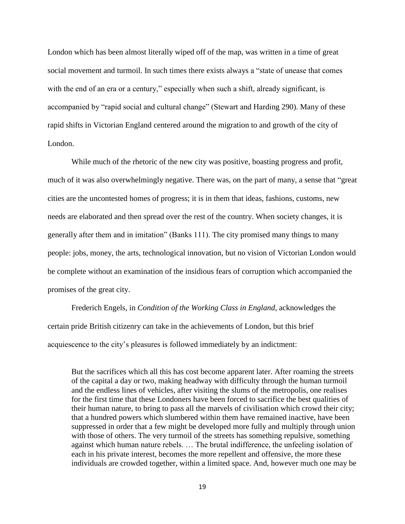London which has been almost literally wiped off of the map, was written in a time of great social movement and turmoil. In such times there exists always a "state of unease that comes with the end of an era or a century," especially when such a shift, already significant, is accompanied by "rapid social and cultural change" (Stewart and Harding 290). Many of these rapid shifts in Victorian England centered around the migration to and growth of the city of London.

While much of the rhetoric of the new city was positive, boasting progress and profit, much of it was also overwhelmingly negative. There was, on the part of many, a sense that "great cities are the uncontested homes of progress; it is in them that ideas, fashions, customs, new needs are elaborated and then spread over the rest of the country. When society changes, it is generally after them and in imitation" (Banks 111). The city promised many things to many people: jobs, money, the arts, technological innovation, but no vision of Victorian London would be complete without an examination of the insidious fears of corruption which accompanied the promises of the great city.

Frederich Engels, in *Condition of the Working Class in England*, acknowledges the certain pride British citizenry can take in the achievements of London, but this brief acquiescence to the city's pleasures is followed immediately by an indictment:

But the sacrifices which all this has cost become apparent later. After roaming the streets of the capital a day or two, making headway with difficulty through the human turmoil and the endless lines of vehicles, after visiting the slums of the metropolis, one realises for the first time that these Londoners have been forced to sacrifice the best qualities of their human nature, to bring to pass all the marvels of civilisation which crowd their city; that a hundred powers which slumbered within them have remained inactive, have been suppressed in order that a few might be developed more fully and multiply through union with those of others. The very turmoil of the streets has something repulsive, something against which human nature rebels. … The brutal indifference, the unfeeling isolation of each in his private interest, becomes the more repellent and offensive, the more these individuals are crowded together, within a limited space. And, however much one may be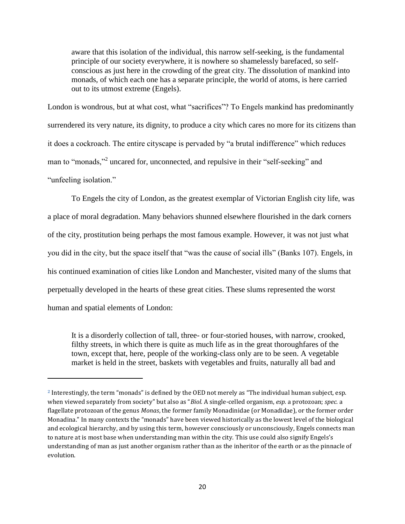aware that this isolation of the individual, this narrow self-seeking, is the fundamental principle of our society everywhere, it is nowhere so shamelessly barefaced, so selfconscious as just here in the crowding of the great city. The dissolution of mankind into monads, of which each one has a separate principle, the world of atoms, is here carried out to its utmost extreme (Engels).

London is wondrous, but at what cost, what "sacrifices"? To Engels mankind has predominantly surrendered its very nature, its dignity, to produce a city which cares no more for its citizens than it does a cockroach. The entire cityscape is pervaded by "a brutal indifference" which reduces man to "monads,"<sup>2</sup> uncared for, unconnected, and repulsive in their "self-seeking" and "unfeeling isolation."

To Engels the city of London, as the greatest exemplar of Victorian English city life, was a place of moral degradation. Many behaviors shunned elsewhere flourished in the dark corners of the city, prostitution being perhaps the most famous example. However, it was not just what you did in the city, but the space itself that "was the cause of social ills" (Banks 107). Engels, in his continued examination of cities like London and Manchester, visited many of the slums that perpetually developed in the hearts of these great cities. These slums represented the worst human and spatial elements of London:

It is a disorderly collection of tall, three- or four-storied houses, with narrow, crooked, filthy streets, in which there is quite as much life as in the great thoroughfares of the town, except that, here, people of the working-class only are to be seen. A vegetable market is held in the street, baskets with vegetables and fruits, naturally all bad and

 $\overline{\phantom{a}}$ 

**<sup>2</sup>** Interestingly, the term "monads" is defined by the OED not merely as "The individual human subject, esp. when viewed separately from society" but also as "*Biol.* A single-celled organism, *esp.* a protozoan; *spec.* a flagellate protozoan of the genus *Monas*, the former family Monadinidae (or Monadidae), or the former order Monadina." In many contexts the "monads" have been viewed historically as the lowest level of the biological and ecological hierarchy, and by using this term, however consciously or unconsciously, Engels connects man to nature at is most base when understanding man within the city. This use could also signify Engels's understanding of man as just another organism rather than as the inheritor of the earth or as the pinnacle of evolution.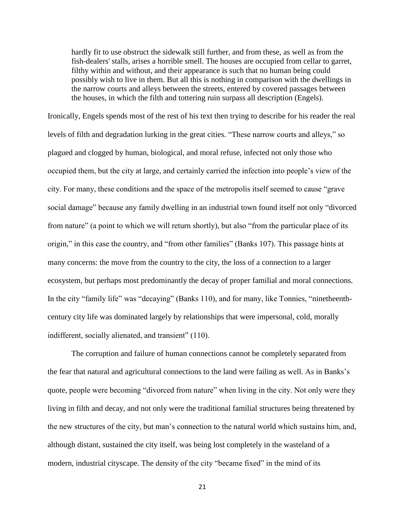hardly fit to use obstruct the sidewalk still further, and from these, as well as from the fish-dealers' stalls, arises a horrible smell. The houses are occupied from cellar to garret, filthy within and without, and their appearance is such that no human being could possibly wish to live in them. But all this is nothing in comparison with the dwellings in the narrow courts and alleys between the streets, entered by covered passages between the houses, in which the filth and tottering ruin surpass all description (Engels).

Ironically, Engels spends most of the rest of his text then trying to describe for his reader the real levels of filth and degradation lurking in the great cities. "These narrow courts and alleys," so plagued and clogged by human, biological, and moral refuse, infected not only those who occupied them, but the city at large, and certainly carried the infection into people's view of the city. For many, these conditions and the space of the metropolis itself seemed to cause "grave social damage" because any family dwelling in an industrial town found itself not only "divorced from nature" (a point to which we will return shortly), but also "from the particular place of its origin," in this case the country, and "from other families" (Banks 107). This passage hints at many concerns: the move from the country to the city, the loss of a connection to a larger ecosystem, but perhaps most predominantly the decay of proper familial and moral connections. In the city "family life" was "decaying" (Banks 110), and for many, like Tonnies, "ninetheenthcentury city life was dominated largely by relationships that were impersonal, cold, morally indifferent, socially alienated, and transient" (110).

The corruption and failure of human connections cannot be completely separated from the fear that natural and agricultural connections to the land were failing as well. As in Banks's quote, people were becoming "divorced from nature" when living in the city. Not only were they living in filth and decay, and not only were the traditional familial structures being threatened by the new structures of the city, but man's connection to the natural world which sustains him, and, although distant, sustained the city itself, was being lost completely in the wasteland of a modern, industrial cityscape. The density of the city "became fixed" in the mind of its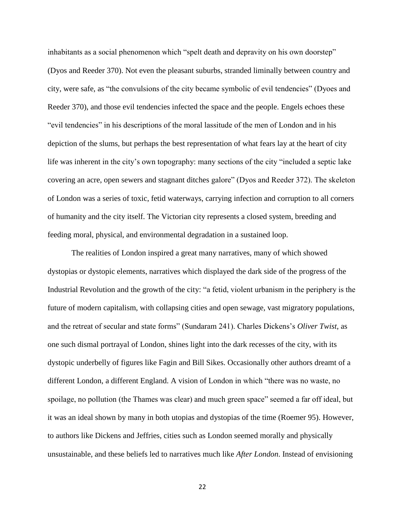inhabitants as a social phenomenon which "spelt death and depravity on his own doorstep" (Dyos and Reeder 370). Not even the pleasant suburbs, stranded liminally between country and city, were safe, as "the convulsions of the city became symbolic of evil tendencies" (Dyoes and Reeder 370), and those evil tendencies infected the space and the people. Engels echoes these "evil tendencies" in his descriptions of the moral lassitude of the men of London and in his depiction of the slums, but perhaps the best representation of what fears lay at the heart of city life was inherent in the city's own topography: many sections of the city "included a septic lake covering an acre, open sewers and stagnant ditches galore" (Dyos and Reeder 372). The skeleton of London was a series of toxic, fetid waterways, carrying infection and corruption to all corners of humanity and the city itself. The Victorian city represents a closed system, breeding and feeding moral, physical, and environmental degradation in a sustained loop.

The realities of London inspired a great many narratives, many of which showed dystopias or dystopic elements, narratives which displayed the dark side of the progress of the Industrial Revolution and the growth of the city: "a fetid, violent urbanism in the periphery is the future of modern capitalism, with collapsing cities and open sewage, vast migratory populations, and the retreat of secular and state forms" (Sundaram 241). Charles Dickens's *Oliver Twist*, as one such dismal portrayal of London, shines light into the dark recesses of the city, with its dystopic underbelly of figures like Fagin and Bill Sikes. Occasionally other authors dreamt of a different London, a different England. A vision of London in which "there was no waste, no spoilage, no pollution (the Thames was clear) and much green space" seemed a far off ideal, but it was an ideal shown by many in both utopias and dystopias of the time (Roemer 95). However, to authors like Dickens and Jeffries, cities such as London seemed morally and physically unsustainable, and these beliefs led to narratives much like *After London*. Instead of envisioning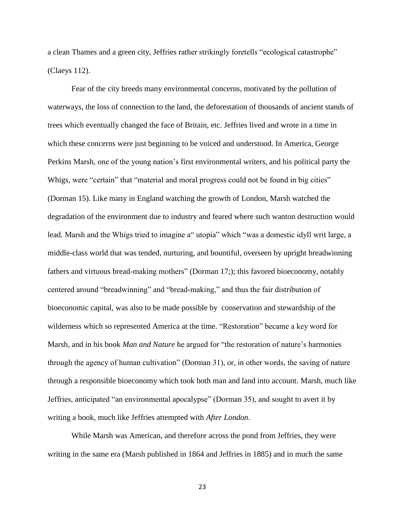a clean Thames and a green city, Jeffries rather strikingly foretells "ecological catastrophe" (Claeys 112).

Fear of the city breeds many environmental concerns, motivated by the pollution of waterways, the loss of connection to the land, the deforestation of thousands of ancient stands of trees which eventually changed the face of Britain, etc. Jeffries lived and wrote in a time in which these concerns were just beginning to be voiced and understood. In America, George Perkins Marsh, one of the young nation's first environmental writers, and his political party the Whigs, were "certain" that "material and moral progress could not be found in big cities" (Dorman 15). Like many in England watching the growth of London, Marsh watched the degradation of the environment due to industry and feared where such wanton destruction would lead. Marsh and the Whigs tried to imagine a" utopia" which "was a domestic idyll writ large, a middle-class world that was tended, nurturing, and bountiful, overseen by upright breadwinning fathers and virtuous bread-making mothers" (Dorman 17;); this favored bioeconomy, notably centered around "breadwinning" and "bread-making," and thus the fair distribution of bioeconomic capital, was also to be made possible by conservation and stewardship of the wilderness which so represented America at the time. "Restoration" became a key word for Marsh, and in his book *Man and Nature* he argued for "the restoration of nature's harmonies through the agency of human cultivation" (Dorman 31), or, in other words, the saving of nature through a responsible bioeconomy which took both man and land into account. Marsh, much like Jeffries, anticipated "an environmental apocalypse" (Dorman 35), and sought to avert it by writing a book, much like Jeffries attempted with *After London*.

While Marsh was American, and therefore across the pond from Jeffries, they were writing in the same era (Marsh published in 1864 and Jeffries in 1885) and in much the same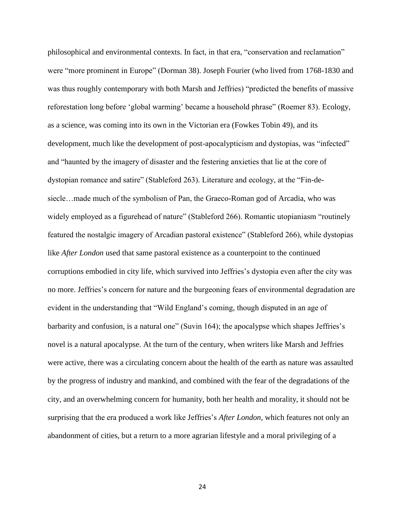philosophical and environmental contexts. In fact, in that era, "conservation and reclamation" were "more prominent in Europe" (Dorman 38). Joseph Fourier (who lived from 1768-1830 and was thus roughly contemporary with both Marsh and Jeffries) "predicted the benefits of massive reforestation long before 'global warming' became a household phrase" (Roemer 83). Ecology, as a science, was coming into its own in the Victorian era (Fowkes Tobin 49), and its development, much like the development of post-apocalypticism and dystopias, was "infected" and "haunted by the imagery of disaster and the festering anxieties that lie at the core of dystopian romance and satire" (Stableford 263). Literature and ecology, at the "Fin-desiecle…made much of the symbolism of Pan, the Graeco-Roman god of Arcadia, who was widely employed as a figurehead of nature" (Stableford 266). Romantic utopianiasm "routinely featured the nostalgic imagery of Arcadian pastoral existence" (Stableford 266), while dystopias like *After London* used that same pastoral existence as a counterpoint to the continued corruptions embodied in city life, which survived into Jeffries's dystopia even after the city was no more. Jeffries's concern for nature and the burgeoning fears of environmental degradation are evident in the understanding that "Wild England's coming, though disputed in an age of barbarity and confusion, is a natural one" (Suvin 164); the apocalypse which shapes Jeffries's novel is a natural apocalypse. At the turn of the century, when writers like Marsh and Jeffries were active, there was a circulating concern about the health of the earth as nature was assaulted by the progress of industry and mankind, and combined with the fear of the degradations of the city, and an overwhelming concern for humanity, both her health and morality, it should not be surprising that the era produced a work like Jeffries's *After London*, which features not only an abandonment of cities, but a return to a more agrarian lifestyle and a moral privileging of a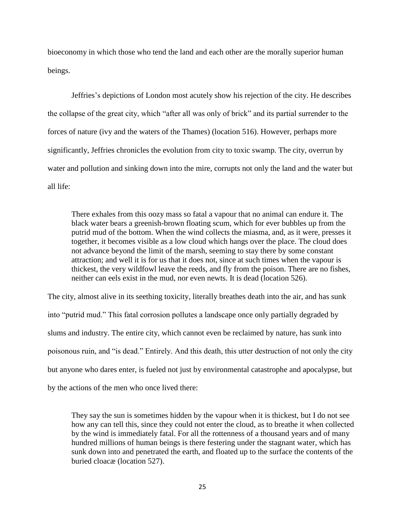bioeconomy in which those who tend the land and each other are the morally superior human beings.

Jeffries's depictions of London most acutely show his rejection of the city. He describes the collapse of the great city, which "after all was only of brick" and its partial surrender to the forces of nature (ivy and the waters of the Thames) (location 516). However, perhaps more significantly, Jeffries chronicles the evolution from city to toxic swamp. The city, overrun by water and pollution and sinking down into the mire, corrupts not only the land and the water but all life:

There exhales from this oozy mass so fatal a vapour that no animal can endure it. The black water bears a greenish-brown floating scum, which for ever bubbles up from the putrid mud of the bottom. When the wind collects the miasma, and, as it were, presses it together, it becomes visible as a low cloud which hangs over the place. The cloud does not advance beyond the limit of the marsh, seeming to stay there by some constant attraction; and well it is for us that it does not, since at such times when the vapour is thickest, the very wildfowl leave the reeds, and fly from the poison. There are no fishes, neither can eels exist in the mud, nor even newts. It is dead (location 526).

The city, almost alive in its seething toxicity, literally breathes death into the air, and has sunk into "putrid mud." This fatal corrosion pollutes a landscape once only partially degraded by slums and industry. The entire city, which cannot even be reclaimed by nature, has sunk into poisonous ruin, and "is dead." Entirely. And this death, this utter destruction of not only the city but anyone who dares enter, is fueled not just by environmental catastrophe and apocalypse, but by the actions of the men who once lived there:

They say the sun is sometimes hidden by the vapour when it is thickest, but I do not see how any can tell this, since they could not enter the cloud, as to breathe it when collected by the wind is immediately fatal. For all the rottenness of a thousand years and of many hundred millions of human beings is there festering under the stagnant water, which has sunk down into and penetrated the earth, and floated up to the surface the contents of the buried cloacæ (location 527).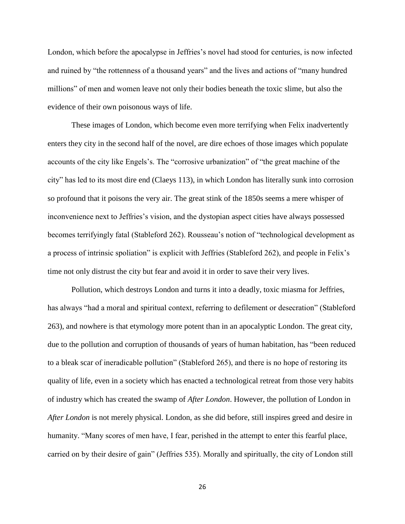London, which before the apocalypse in Jeffries's novel had stood for centuries, is now infected and ruined by "the rottenness of a thousand years" and the lives and actions of "many hundred millions" of men and women leave not only their bodies beneath the toxic slime, but also the evidence of their own poisonous ways of life.

These images of London, which become even more terrifying when Felix inadvertently enters they city in the second half of the novel, are dire echoes of those images which populate accounts of the city like Engels's. The "corrosive urbanization" of "the great machine of the city" has led to its most dire end (Claeys 113), in which London has literally sunk into corrosion so profound that it poisons the very air. The great stink of the 1850s seems a mere whisper of inconvenience next to Jeffries's vision, and the dystopian aspect cities have always possessed becomes terrifyingly fatal (Stableford 262). Rousseau's notion of "technological development as a process of intrinsic spoliation" is explicit with Jeffries (Stableford 262), and people in Felix's time not only distrust the city but fear and avoid it in order to save their very lives.

Pollution, which destroys London and turns it into a deadly, toxic miasma for Jeffries, has always "had a moral and spiritual context, referring to defilement or desecration" (Stableford 263), and nowhere is that etymology more potent than in an apocalyptic London. The great city, due to the pollution and corruption of thousands of years of human habitation, has "been reduced to a bleak scar of ineradicable pollution" (Stableford 265), and there is no hope of restoring its quality of life, even in a society which has enacted a technological retreat from those very habits of industry which has created the swamp of *After London*. However, the pollution of London in *After London* is not merely physical. London, as she did before, still inspires greed and desire in humanity. "Many scores of men have, I fear, perished in the attempt to enter this fearful place, carried on by their desire of gain" (Jeffries 535). Morally and spiritually, the city of London still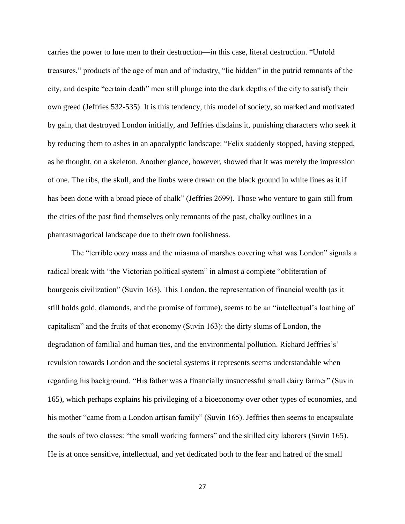carries the power to lure men to their destruction—in this case, literal destruction. "Untold treasures," products of the age of man and of industry, "lie hidden" in the putrid remnants of the city, and despite "certain death" men still plunge into the dark depths of the city to satisfy their own greed (Jeffries 532-535). It is this tendency, this model of society, so marked and motivated by gain, that destroyed London initially, and Jeffries disdains it, punishing characters who seek it by reducing them to ashes in an apocalyptic landscape: "Felix suddenly stopped, having stepped, as he thought, on a skeleton. Another glance, however, showed that it was merely the impression of one. The ribs, the skull, and the limbs were drawn on the black ground in white lines as it if has been done with a broad piece of chalk" (Jeffries 2699). Those who venture to gain still from the cities of the past find themselves only remnants of the past, chalky outlines in a phantasmagorical landscape due to their own foolishness.

The "terrible oozy mass and the miasma of marshes covering what was London" signals a radical break with "the Victorian political system" in almost a complete "obliteration of bourgeois civilization" (Suvin 163). This London, the representation of financial wealth (as it still holds gold, diamonds, and the promise of fortune), seems to be an "intellectual's loathing of capitalism" and the fruits of that economy (Suvin 163): the dirty slums of London, the degradation of familial and human ties, and the environmental pollution. Richard Jeffries's' revulsion towards London and the societal systems it represents seems understandable when regarding his background. "His father was a financially unsuccessful small dairy farmer" (Suvin 165), which perhaps explains his privileging of a bioeconomy over other types of economies, and his mother "came from a London artisan family" (Suvin 165). Jeffries then seems to encapsulate the souls of two classes: "the small working farmers" and the skilled city laborers (Suvin 165). He is at once sensitive, intellectual, and yet dedicated both to the fear and hatred of the small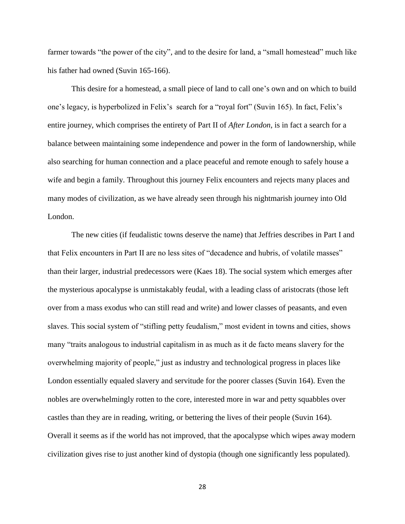farmer towards "the power of the city", and to the desire for land, a "small homestead" much like his father had owned (Suvin 165-166).

This desire for a homestead, a small piece of land to call one's own and on which to build one's legacy, is hyperbolized in Felix's search for a "royal fort" (Suvin 165). In fact, Felix's entire journey, which comprises the entirety of Part II of *After London*, is in fact a search for a balance between maintaining some independence and power in the form of landownership, while also searching for human connection and a place peaceful and remote enough to safely house a wife and begin a family. Throughout this journey Felix encounters and rejects many places and many modes of civilization, as we have already seen through his nightmarish journey into Old London.

The new cities (if feudalistic towns deserve the name) that Jeffries describes in Part I and that Felix encounters in Part II are no less sites of "decadence and hubris, of volatile masses" than their larger, industrial predecessors were (Kaes 18). The social system which emerges after the mysterious apocalypse is unmistakably feudal, with a leading class of aristocrats (those left over from a mass exodus who can still read and write) and lower classes of peasants, and even slaves. This social system of "stifling petty feudalism," most evident in towns and cities, shows many "traits analogous to industrial capitalism in as much as it de facto means slavery for the overwhelming majority of people," just as industry and technological progress in places like London essentially equaled slavery and servitude for the poorer classes (Suvin 164). Even the nobles are overwhelmingly rotten to the core, interested more in war and petty squabbles over castles than they are in reading, writing, or bettering the lives of their people (Suvin 164). Overall it seems as if the world has not improved, that the apocalypse which wipes away modern civilization gives rise to just another kind of dystopia (though one significantly less populated).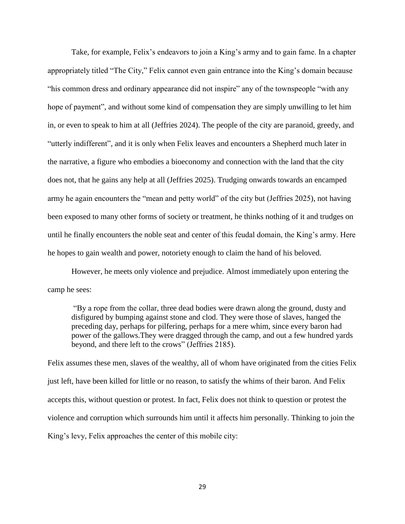Take, for example, Felix's endeavors to join a King's army and to gain fame. In a chapter appropriately titled "The City," Felix cannot even gain entrance into the King's domain because "his common dress and ordinary appearance did not inspire" any of the townspeople "with any hope of payment", and without some kind of compensation they are simply unwilling to let him in, or even to speak to him at all (Jeffries 2024). The people of the city are paranoid, greedy, and "utterly indifferent", and it is only when Felix leaves and encounters a Shepherd much later in the narrative, a figure who embodies a bioeconomy and connection with the land that the city does not, that he gains any help at all (Jeffries 2025). Trudging onwards towards an encamped army he again encounters the "mean and petty world" of the city but (Jeffries 2025), not having been exposed to many other forms of society or treatment, he thinks nothing of it and trudges on until he finally encounters the noble seat and center of this feudal domain, the King's army. Here he hopes to gain wealth and power, notoriety enough to claim the hand of his beloved.

However, he meets only violence and prejudice. Almost immediately upon entering the camp he sees:

"By a rope from the collar, three dead bodies were drawn along the ground, dusty and disfigured by bumping against stone and clod. They were those of slaves, hanged the preceding day, perhaps for pilfering, perhaps for a mere whim, since every baron had power of the gallows.They were dragged through the camp, and out a few hundred yards beyond, and there left to the crows" (Jeffries 2185).

Felix assumes these men, slaves of the wealthy, all of whom have originated from the cities Felix just left, have been killed for little or no reason, to satisfy the whims of their baron. And Felix accepts this, without question or protest. In fact, Felix does not think to question or protest the violence and corruption which surrounds him until it affects him personally. Thinking to join the King's levy, Felix approaches the center of this mobile city: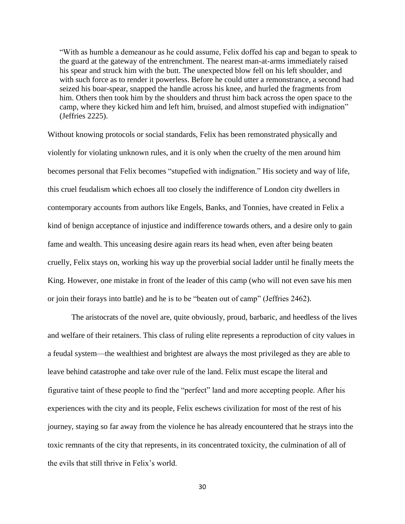"With as humble a demeanour as he could assume, Felix doffed his cap and began to speak to the guard at the gateway of the entrenchment. The nearest man-at-arms immediately raised his spear and struck him with the butt. The unexpected blow fell on his left shoulder, and with such force as to render it powerless. Before he could utter a remonstrance, a second had seized his boar-spear, snapped the handle across his knee, and hurled the fragments from him. Others then took him by the shoulders and thrust him back across the open space to the camp, where they kicked him and left him, bruised, and almost stupefied with indignation" (Jeffries 2225).

Without knowing protocols or social standards, Felix has been remonstrated physically and violently for violating unknown rules, and it is only when the cruelty of the men around him becomes personal that Felix becomes "stupefied with indignation." His society and way of life, this cruel feudalism which echoes all too closely the indifference of London city dwellers in contemporary accounts from authors like Engels, Banks, and Tonnies, have created in Felix a kind of benign acceptance of injustice and indifference towards others, and a desire only to gain fame and wealth. This unceasing desire again rears its head when, even after being beaten cruelly, Felix stays on, working his way up the proverbial social ladder until he finally meets the King. However, one mistake in front of the leader of this camp (who will not even save his men or join their forays into battle) and he is to be "beaten out of camp" (Jeffries 2462).

The aristocrats of the novel are, quite obviously, proud, barbaric, and heedless of the lives and welfare of their retainers. This class of ruling elite represents a reproduction of city values in a feudal system—the wealthiest and brightest are always the most privileged as they are able to leave behind catastrophe and take over rule of the land. Felix must escape the literal and figurative taint of these people to find the "perfect" land and more accepting people. After his experiences with the city and its people, Felix eschews civilization for most of the rest of his journey, staying so far away from the violence he has already encountered that he strays into the toxic remnants of the city that represents, in its concentrated toxicity, the culmination of all of the evils that still thrive in Felix's world.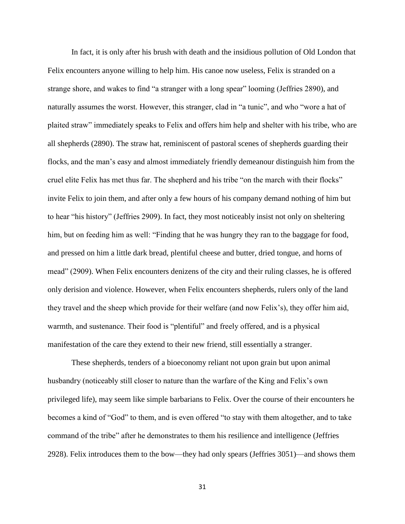In fact, it is only after his brush with death and the insidious pollution of Old London that Felix encounters anyone willing to help him. His canoe now useless, Felix is stranded on a strange shore, and wakes to find "a stranger with a long spear" looming (Jeffries 2890), and naturally assumes the worst. However, this stranger, clad in "a tunic", and who "wore a hat of plaited straw" immediately speaks to Felix and offers him help and shelter with his tribe, who are all shepherds (2890). The straw hat, reminiscent of pastoral scenes of shepherds guarding their flocks, and the man's easy and almost immediately friendly demeanour distinguish him from the cruel elite Felix has met thus far. The shepherd and his tribe "on the march with their flocks" invite Felix to join them, and after only a few hours of his company demand nothing of him but to hear "his history" (Jeffries 2909). In fact, they most noticeably insist not only on sheltering him, but on feeding him as well: "Finding that he was hungry they ran to the baggage for food, and pressed on him a little dark bread, plentiful cheese and butter, dried tongue, and horns of mead" (2909). When Felix encounters denizens of the city and their ruling classes, he is offered only derision and violence. However, when Felix encounters shepherds, rulers only of the land they travel and the sheep which provide for their welfare (and now Felix's), they offer him aid, warmth, and sustenance. Their food is "plentiful" and freely offered, and is a physical manifestation of the care they extend to their new friend, still essentially a stranger.

These shepherds, tenders of a bioeconomy reliant not upon grain but upon animal husbandry (noticeably still closer to nature than the warfare of the King and Felix's own privileged life), may seem like simple barbarians to Felix. Over the course of their encounters he becomes a kind of "God" to them, and is even offered "to stay with them altogether, and to take command of the tribe" after he demonstrates to them his resilience and intelligence (Jeffries 2928). Felix introduces them to the bow—they had only spears (Jeffries 3051)—and shows them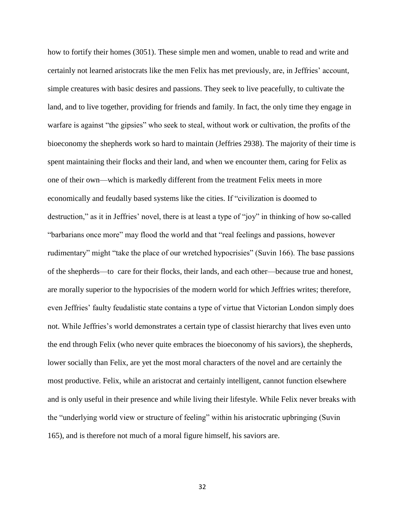how to fortify their homes (3051). These simple men and women, unable to read and write and certainly not learned aristocrats like the men Felix has met previously, are, in Jeffries' account, simple creatures with basic desires and passions. They seek to live peacefully, to cultivate the land, and to live together, providing for friends and family. In fact, the only time they engage in warfare is against "the gipsies" who seek to steal, without work or cultivation, the profits of the bioeconomy the shepherds work so hard to maintain (Jeffries 2938). The majority of their time is spent maintaining their flocks and their land, and when we encounter them, caring for Felix as one of their own—which is markedly different from the treatment Felix meets in more economically and feudally based systems like the cities. If "civilization is doomed to destruction," as it in Jeffries' novel, there is at least a type of "joy" in thinking of how so-called "barbarians once more" may flood the world and that "real feelings and passions, however rudimentary" might "take the place of our wretched hypocrisies" (Suvin 166). The base passions of the shepherds—to care for their flocks, their lands, and each other—because true and honest, are morally superior to the hypocrisies of the modern world for which Jeffries writes; therefore, even Jeffries' faulty feudalistic state contains a type of virtue that Victorian London simply does not. While Jeffries's world demonstrates a certain type of classist hierarchy that lives even unto the end through Felix (who never quite embraces the bioeconomy of his saviors), the shepherds, lower socially than Felix, are yet the most moral characters of the novel and are certainly the most productive. Felix, while an aristocrat and certainly intelligent, cannot function elsewhere and is only useful in their presence and while living their lifestyle. While Felix never breaks with the "underlying world view or structure of feeling" within his aristocratic upbringing (Suvin 165), and is therefore not much of a moral figure himself, his saviors are.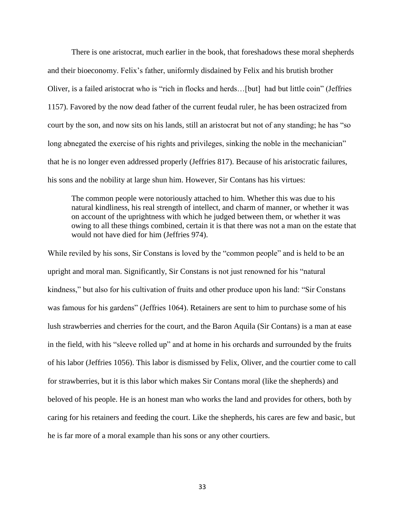There is one aristocrat, much earlier in the book, that foreshadows these moral shepherds and their bioeconomy. Felix's father, uniformly disdained by Felix and his brutish brother Oliver, is a failed aristocrat who is "rich in flocks and herds…[but] had but little coin" (Jeffries 1157). Favored by the now dead father of the current feudal ruler, he has been ostracized from court by the son, and now sits on his lands, still an aristocrat but not of any standing; he has "so long abnegated the exercise of his rights and privileges, sinking the noble in the mechanician" that he is no longer even addressed properly (Jeffries 817). Because of his aristocratic failures, his sons and the nobility at large shun him. However, Sir Contans has his virtues:

The common people were notoriously attached to him. Whether this was due to his natural kindliness, his real strength of intellect, and charm of manner, or whether it was on account of the uprightness with which he judged between them, or whether it was owing to all these things combined, certain it is that there was not a man on the estate that would not have died for him (Jeffries 974).

While reviled by his sons, Sir Constans is loved by the "common people" and is held to be an upright and moral man. Significantly, Sir Constans is not just renowned for his "natural kindness," but also for his cultivation of fruits and other produce upon his land: "Sir Constans was famous for his gardens" (Jeffries 1064). Retainers are sent to him to purchase some of his lush strawberries and cherries for the court, and the Baron Aquila (Sir Contans) is a man at ease in the field, with his "sleeve rolled up" and at home in his orchards and surrounded by the fruits of his labor (Jeffries 1056). This labor is dismissed by Felix, Oliver, and the courtier come to call for strawberries, but it is this labor which makes Sir Contans moral (like the shepherds) and beloved of his people. He is an honest man who works the land and provides for others, both by caring for his retainers and feeding the court. Like the shepherds, his cares are few and basic, but he is far more of a moral example than his sons or any other courtiers.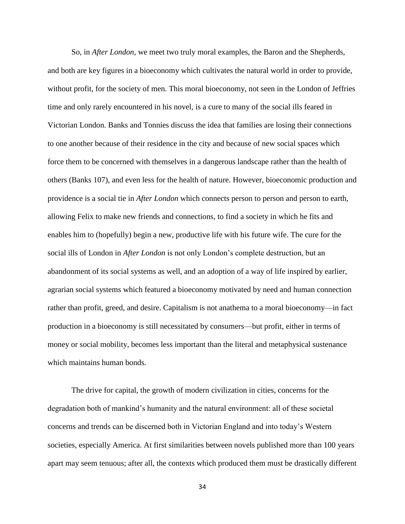So, in *After London*, we meet two truly moral examples, the Baron and the Shepherds, and both are key figures in a bioeconomy which cultivates the natural world in order to provide, without profit, for the society of men. This moral bioeconomy, not seen in the London of Jeffries time and only rarely encountered in his novel, is a cure to many of the social ills feared in Victorian London. Banks and Tonnies discuss the idea that families are losing their connections to one another because of their residence in the city and because of new social spaces which force them to be concerned with themselves in a dangerous landscape rather than the health of others (Banks 107), and even less for the health of nature. However, bioeconomic production and providence is a social tie in *After London* which connects person to person and person to earth, allowing Felix to make new friends and connections, to find a society in which he fits and enables him to (hopefully) begin a new, productive life with his future wife. The cure for the social ills of London in *After London* is not only London's complete destruction, but an abandonment of its social systems as well, and an adoption of a way of life inspired by earlier, agrarian social systems which featured a bioeconomy motivated by need and human connection rather than profit, greed, and desire. Capitalism is not anathema to a moral bioeconomy—in fact production in a bioeconomy is still necessitated by consumers—but profit, either in terms of money or social mobility, becomes less important than the literal and metaphysical sustenance which maintains human bonds*.*

The drive for capital, the growth of modern civilization in cities, concerns for the degradation both of mankind's humanity and the natural environment: all of these societal concerns and trends can be discerned both in Victorian England and into today's Western societies, especially America. At first similarities between novels published more than 100 years apart may seem tenuous; after all, the contexts which produced them must be drastically different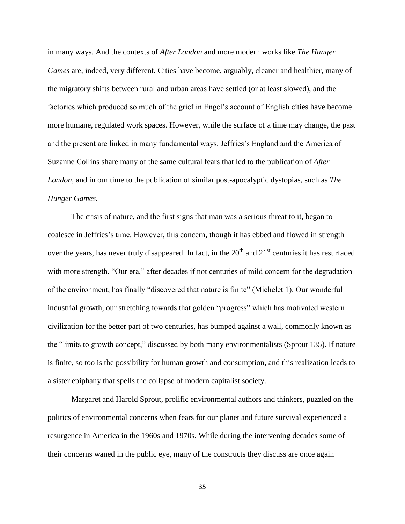in many ways. And the contexts of *After London* and more modern works like *The Hunger Games* are, indeed, very different. Cities have become, arguably, cleaner and healthier, many of the migratory shifts between rural and urban areas have settled (or at least slowed), and the factories which produced so much of the grief in Engel's account of English cities have become more humane, regulated work spaces. However, while the surface of a time may change, the past and the present are linked in many fundamental ways. Jeffries's England and the America of Suzanne Collins share many of the same cultural fears that led to the publication of *After London*, and in our time to the publication of similar post-apocalyptic dystopias, such as *The Hunger Games*.

The crisis of nature, and the first signs that man was a serious threat to it, began to coalesce in Jeffries's time. However, this concern, though it has ebbed and flowed in strength over the years, has never truly disappeared. In fact, in the  $20<sup>th</sup>$  and  $21<sup>st</sup>$  centuries it has resurfaced with more strength. "Our era," after decades if not centuries of mild concern for the degradation of the environment, has finally "discovered that nature is finite" (Michelet 1). Our wonderful industrial growth, our stretching towards that golden "progress" which has motivated western civilization for the better part of two centuries, has bumped against a wall, commonly known as the "limits to growth concept," discussed by both many environmentalists (Sprout 135). If nature is finite, so too is the possibility for human growth and consumption, and this realization leads to a sister epiphany that spells the collapse of modern capitalist society.

Margaret and Harold Sprout, prolific environmental authors and thinkers, puzzled on the politics of environmental concerns when fears for our planet and future survival experienced a resurgence in America in the 1960s and 1970s. While during the intervening decades some of their concerns waned in the public eye, many of the constructs they discuss are once again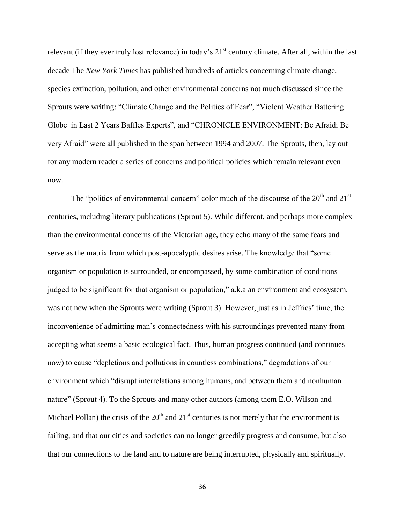relevant (if they ever truly lost relevance) in today's 21<sup>st</sup> century climate. After all, within the last decade The *New York Times* has published hundreds of articles concerning climate change, species extinction, pollution, and other environmental concerns not much discussed since the Sprouts were writing: "Climate Change and the Politics of Fear", "Violent Weather Battering Globe in Last 2 Years Baffles Experts", and "CHRONICLE ENVIRONMENT: Be Afraid; Be very Afraid" were all published in the span between 1994 and 2007. The Sprouts, then, lay out for any modern reader a series of concerns and political policies which remain relevant even now.

The "politics of environmental concern" color much of the discourse of the  $20<sup>th</sup>$  and  $21<sup>st</sup>$ centuries, including literary publications (Sprout 5). While different, and perhaps more complex than the environmental concerns of the Victorian age, they echo many of the same fears and serve as the matrix from which post-apocalyptic desires arise. The knowledge that "some organism or population is surrounded, or encompassed, by some combination of conditions judged to be significant for that organism or population," a.k.a an environment and ecosystem, was not new when the Sprouts were writing (Sprout 3). However, just as in Jeffries' time, the inconvenience of admitting man's connectedness with his surroundings prevented many from accepting what seems a basic ecological fact. Thus, human progress continued (and continues now) to cause "depletions and pollutions in countless combinations," degradations of our environment which "disrupt interrelations among humans, and between them and nonhuman nature" (Sprout 4). To the Sprouts and many other authors (among them E.O. Wilson and Michael Pollan) the crisis of the  $20<sup>th</sup>$  and  $21<sup>st</sup>$  centuries is not merely that the environment is failing, and that our cities and societies can no longer greedily progress and consume, but also that our connections to the land and to nature are being interrupted, physically and spiritually.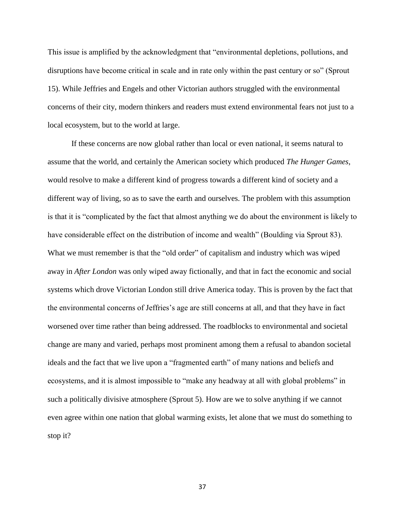This issue is amplified by the acknowledgment that "environmental depletions, pollutions, and disruptions have become critical in scale and in rate only within the past century or so" (Sprout 15). While Jeffries and Engels and other Victorian authors struggled with the environmental concerns of their city, modern thinkers and readers must extend environmental fears not just to a local ecosystem, but to the world at large.

If these concerns are now global rather than local or even national, it seems natural to assume that the world, and certainly the American society which produced *The Hunger Games*, would resolve to make a different kind of progress towards a different kind of society and a different way of living, so as to save the earth and ourselves. The problem with this assumption is that it is "complicated by the fact that almost anything we do about the environment is likely to have considerable effect on the distribution of income and wealth" (Boulding via Sprout 83). What we must remember is that the "old order" of capitalism and industry which was wiped away in *After London* was only wiped away fictionally, and that in fact the economic and social systems which drove Victorian London still drive America today. This is proven by the fact that the environmental concerns of Jeffries's age are still concerns at all, and that they have in fact worsened over time rather than being addressed. The roadblocks to environmental and societal change are many and varied, perhaps most prominent among them a refusal to abandon societal ideals and the fact that we live upon a "fragmented earth" of many nations and beliefs and ecosystems, and it is almost impossible to "make any headway at all with global problems" in such a politically divisive atmosphere (Sprout 5). How are we to solve anything if we cannot even agree within one nation that global warming exists, let alone that we must do something to stop it?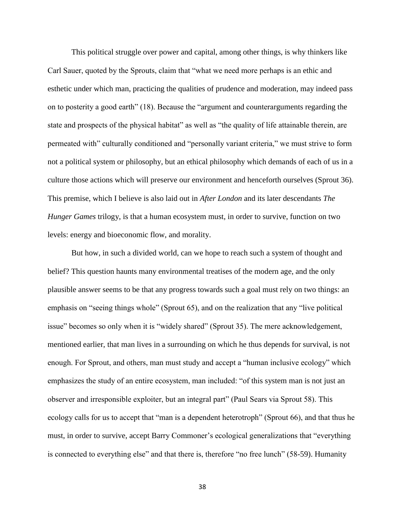This political struggle over power and capital, among other things, is why thinkers like Carl Sauer, quoted by the Sprouts, claim that "what we need more perhaps is an ethic and esthetic under which man, practicing the qualities of prudence and moderation, may indeed pass on to posterity a good earth" (18). Because the "argument and counterarguments regarding the state and prospects of the physical habitat" as well as "the quality of life attainable therein, are permeated with" culturally conditioned and "personally variant criteria," we must strive to form not a political system or philosophy, but an ethical philosophy which demands of each of us in a culture those actions which will preserve our environment and henceforth ourselves (Sprout 36). This premise, which I believe is also laid out in *After London* and its later descendants *The Hunger Games* trilogy, is that a human ecosystem must, in order to survive, function on two levels: energy and bioeconomic flow, and morality.

But how, in such a divided world, can we hope to reach such a system of thought and belief? This question haunts many environmental treatises of the modern age, and the only plausible answer seems to be that any progress towards such a goal must rely on two things: an emphasis on "seeing things whole" (Sprout 65), and on the realization that any "live political issue" becomes so only when it is "widely shared" (Sprout 35). The mere acknowledgement, mentioned earlier, that man lives in a surrounding on which he thus depends for survival, is not enough. For Sprout, and others, man must study and accept a "human inclusive ecology" which emphasizes the study of an entire ecosystem, man included: "of this system man is not just an observer and irresponsible exploiter, but an integral part" (Paul Sears via Sprout 58). This ecology calls for us to accept that "man is a dependent heterotroph" (Sprout 66), and that thus he must, in order to survive, accept Barry Commoner's ecological generalizations that "everything is connected to everything else" and that there is, therefore "no free lunch" (58-59). Humanity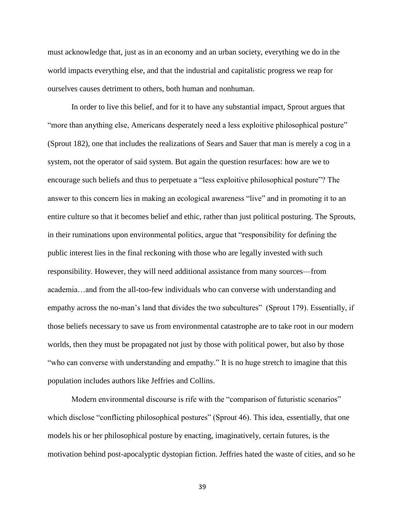must acknowledge that, just as in an economy and an urban society, everything we do in the world impacts everything else, and that the industrial and capitalistic progress we reap for ourselves causes detriment to others, both human and nonhuman.

In order to live this belief, and for it to have any substantial impact, Sprout argues that "more than anything else, Americans desperately need a less exploitive philosophical posture" (Sprout 182), one that includes the realizations of Sears and Sauer that man is merely a cog in a system, not the operator of said system. But again the question resurfaces: how are we to encourage such beliefs and thus to perpetuate a "less exploitive philosophical posture"? The answer to this concern lies in making an ecological awareness "live" and in promoting it to an entire culture so that it becomes belief and ethic, rather than just political posturing. The Sprouts, in their ruminations upon environmental politics, argue that "responsibility for defining the public interest lies in the final reckoning with those who are legally invested with such responsibility. However, they will need additional assistance from many sources—from academia…and from the all-too-few individuals who can converse with understanding and empathy across the no-man's land that divides the two subcultures" (Sprout 179). Essentially, if those beliefs necessary to save us from environmental catastrophe are to take root in our modern worlds, then they must be propagated not just by those with political power, but also by those "who can converse with understanding and empathy." It is no huge stretch to imagine that this population includes authors like Jeffries and Collins.

Modern environmental discourse is rife with the "comparison of futuristic scenarios" which disclose "conflicting philosophical postures" (Sprout 46). This idea, essentially, that one models his or her philosophical posture by enacting, imaginatively, certain futures, is the motivation behind post-apocalyptic dystopian fiction. Jeffries hated the waste of cities, and so he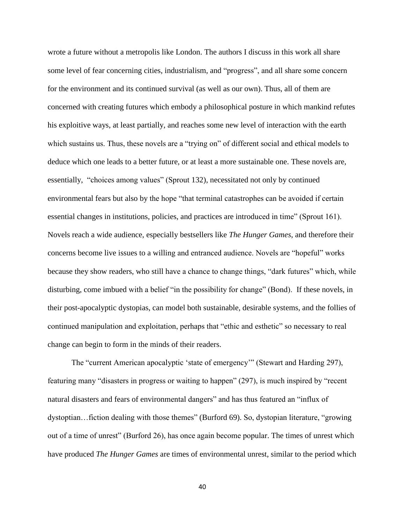wrote a future without a metropolis like London. The authors I discuss in this work all share some level of fear concerning cities, industrialism, and "progress", and all share some concern for the environment and its continued survival (as well as our own). Thus, all of them are concerned with creating futures which embody a philosophical posture in which mankind refutes his exploitive ways, at least partially, and reaches some new level of interaction with the earth which sustains us. Thus, these novels are a "trying on" of different social and ethical models to deduce which one leads to a better future, or at least a more sustainable one. These novels are, essentially, "choices among values" (Sprout 132), necessitated not only by continued environmental fears but also by the hope "that terminal catastrophes can be avoided if certain essential changes in institutions, policies, and practices are introduced in time" (Sprout 161). Novels reach a wide audience, especially bestsellers like *The Hunger Games*, and therefore their concerns become live issues to a willing and entranced audience. Novels are "hopeful" works because they show readers, who still have a chance to change things, "dark futures" which, while disturbing, come imbued with a belief "in the possibility for change" (Bond). If these novels, in their post-apocalyptic dystopias, can model both sustainable, desirable systems, and the follies of continued manipulation and exploitation, perhaps that "ethic and esthetic" so necessary to real change can begin to form in the minds of their readers.

The "current American apocalyptic 'state of emergency'" (Stewart and Harding 297), featuring many "disasters in progress or waiting to happen" (297), is much inspired by "recent natural disasters and fears of environmental dangers" and has thus featured an "influx of dystoptian…fiction dealing with those themes" (Burford 69). So, dystopian literature, "growing out of a time of unrest" (Burford 26), has once again become popular. The times of unrest which have produced *The Hunger Games* are times of environmental unrest, similar to the period which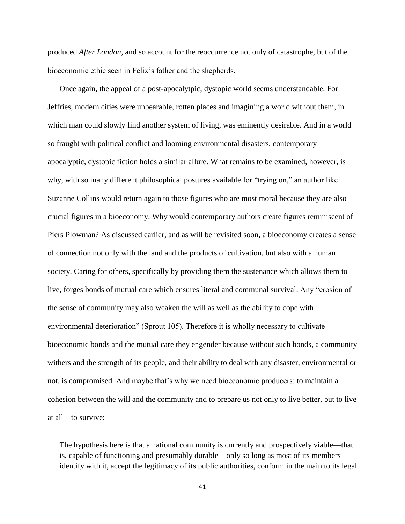produced *After London*, and so account for the reoccurrence not only of catastrophe, but of the bioeconomic ethic seen in Felix's father and the shepherds.

Once again, the appeal of a post-apocalytpic, dystopic world seems understandable. For Jeffries, modern cities were unbearable, rotten places and imagining a world without them, in which man could slowly find another system of living, was eminently desirable. And in a world so fraught with political conflict and looming environmental disasters, contemporary apocalyptic, dystopic fiction holds a similar allure. What remains to be examined, however, is why, with so many different philosophical postures available for "trying on," an author like Suzanne Collins would return again to those figures who are most moral because they are also crucial figures in a bioeconomy. Why would contemporary authors create figures reminiscent of Piers Plowman? As discussed earlier, and as will be revisited soon, a bioeconomy creates a sense of connection not only with the land and the products of cultivation, but also with a human society. Caring for others, specifically by providing them the sustenance which allows them to live, forges bonds of mutual care which ensures literal and communal survival. Any "erosion of the sense of community may also weaken the will as well as the ability to cope with environmental deterioration" (Sprout 105). Therefore it is wholly necessary to cultivate bioeconomic bonds and the mutual care they engender because without such bonds, a community withers and the strength of its people, and their ability to deal with any disaster, environmental or not, is compromised. And maybe that's why we need bioeconomic producers: to maintain a cohesion between the will and the community and to prepare us not only to live better, but to live at all—to survive:

The hypothesis here is that a national community is currently and prospectively viable—that is, capable of functioning and presumably durable—only so long as most of its members identify with it, accept the legitimacy of its public authorities, conform in the main to its legal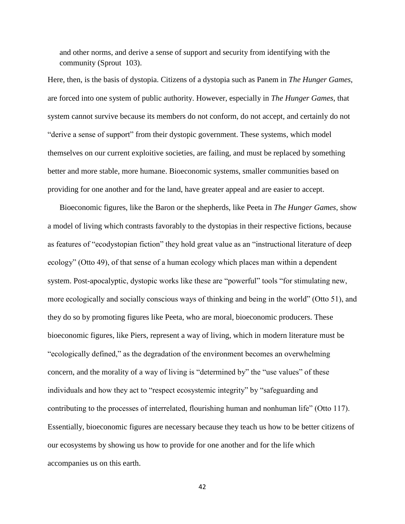and other norms, and derive a sense of support and security from identifying with the community (Sprout 103).

Here, then, is the basis of dystopia. Citizens of a dystopia such as Panem in *The Hunger Games*, are forced into one system of public authority. However, especially in *The Hunger Games*, that system cannot survive because its members do not conform, do not accept, and certainly do not "derive a sense of support" from their dystopic government. These systems, which model themselves on our current exploitive societies, are failing, and must be replaced by something better and more stable, more humane. Bioeconomic systems, smaller communities based on providing for one another and for the land, have greater appeal and are easier to accept.

Bioeconomic figures, like the Baron or the shepherds, like Peeta in *The Hunger Games*, show a model of living which contrasts favorably to the dystopias in their respective fictions, because as features of "ecodystopian fiction" they hold great value as an "instructional literature of deep ecology" (Otto 49), of that sense of a human ecology which places man within a dependent system. Post-apocalyptic, dystopic works like these are "powerful" tools "for stimulating new, more ecologically and socially conscious ways of thinking and being in the world" (Otto 51), and they do so by promoting figures like Peeta, who are moral, bioeconomic producers. These bioeconomic figures, like Piers, represent a way of living, which in modern literature must be "ecologically defined," as the degradation of the environment becomes an overwhelming concern, and the morality of a way of living is "determined by" the "use values" of these individuals and how they act to "respect ecosystemic integrity" by "safeguarding and contributing to the processes of interrelated, flourishing human and nonhuman life" (Otto 117). Essentially, bioeconomic figures are necessary because they teach us how to be better citizens of our ecosystems by showing us how to provide for one another and for the life which accompanies us on this earth.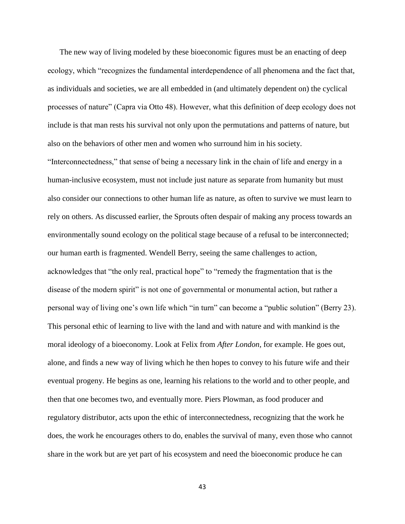The new way of living modeled by these bioeconomic figures must be an enacting of deep ecology, which "recognizes the fundamental interdependence of all phenomena and the fact that, as individuals and societies, we are all embedded in (and ultimately dependent on) the cyclical processes of nature" (Capra via Otto 48). However, what this definition of deep ecology does not include is that man rests his survival not only upon the permutations and patterns of nature, but also on the behaviors of other men and women who surround him in his society.

"Interconnectedness," that sense of being a necessary link in the chain of life and energy in a human-inclusive ecosystem, must not include just nature as separate from humanity but must also consider our connections to other human life as nature, as often to survive we must learn to rely on others. As discussed earlier, the Sprouts often despair of making any process towards an environmentally sound ecology on the political stage because of a refusal to be interconnected; our human earth is fragmented. Wendell Berry, seeing the same challenges to action, acknowledges that "the only real, practical hope" to "remedy the fragmentation that is the disease of the modern spirit" is not one of governmental or monumental action, but rather a personal way of living one's own life which "in turn" can become a "public solution" (Berry 23). This personal ethic of learning to live with the land and with nature and with mankind is the moral ideology of a bioeconomy. Look at Felix from *After London*, for example. He goes out, alone, and finds a new way of living which he then hopes to convey to his future wife and their eventual progeny. He begins as one, learning his relations to the world and to other people, and then that one becomes two, and eventually more. Piers Plowman, as food producer and regulatory distributor, acts upon the ethic of interconnectedness, recognizing that the work he does, the work he encourages others to do, enables the survival of many, even those who cannot share in the work but are yet part of his ecosystem and need the bioeconomic produce he can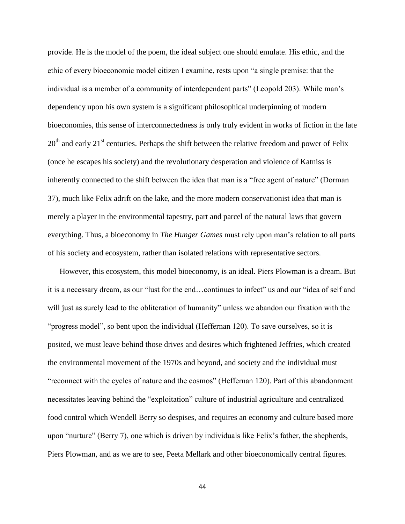provide. He is the model of the poem, the ideal subject one should emulate. His ethic, and the ethic of every bioeconomic model citizen I examine, rests upon "a single premise: that the individual is a member of a community of interdependent parts" (Leopold 203). While man's dependency upon his own system is a significant philosophical underpinning of modern bioeconomies, this sense of interconnectedness is only truly evident in works of fiction in the late  $20<sup>th</sup>$  and early  $21<sup>st</sup>$  centuries. Perhaps the shift between the relative freedom and power of Felix (once he escapes his society) and the revolutionary desperation and violence of Katniss is inherently connected to the shift between the idea that man is a "free agent of nature" (Dorman 37), much like Felix adrift on the lake, and the more modern conservationist idea that man is merely a player in the environmental tapestry, part and parcel of the natural laws that govern everything. Thus, a bioeconomy in *The Hunger Games* must rely upon man's relation to all parts of his society and ecosystem, rather than isolated relations with representative sectors.

However, this ecosystem, this model bioeconomy, is an ideal. Piers Plowman is a dream. But it is a necessary dream, as our "lust for the end…continues to infect" us and our "idea of self and will just as surely lead to the obliteration of humanity" unless we abandon our fixation with the "progress model", so bent upon the individual (Heffernan 120). To save ourselves, so it is posited, we must leave behind those drives and desires which frightened Jeffries, which created the environmental movement of the 1970s and beyond, and society and the individual must "reconnect with the cycles of nature and the cosmos" (Heffernan 120). Part of this abandonment necessitates leaving behind the "exploitation" culture of industrial agriculture and centralized food control which Wendell Berry so despises, and requires an economy and culture based more upon "nurture" (Berry 7), one which is driven by individuals like Felix's father, the shepherds, Piers Plowman, and as we are to see, Peeta Mellark and other bioeconomically central figures.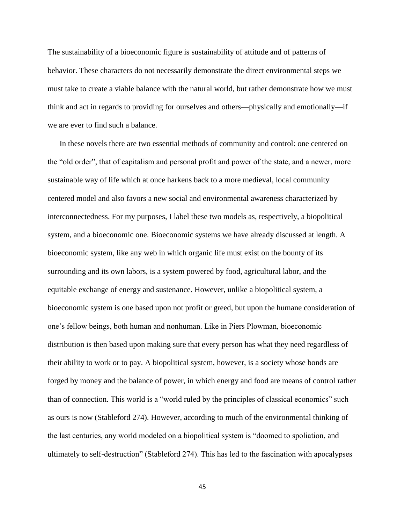The sustainability of a bioeconomic figure is sustainability of attitude and of patterns of behavior. These characters do not necessarily demonstrate the direct environmental steps we must take to create a viable balance with the natural world, but rather demonstrate how we must think and act in regards to providing for ourselves and others—physically and emotionally—if we are ever to find such a balance.

In these novels there are two essential methods of community and control: one centered on the "old order", that of capitalism and personal profit and power of the state, and a newer, more sustainable way of life which at once harkens back to a more medieval, local community centered model and also favors a new social and environmental awareness characterized by interconnectedness. For my purposes, I label these two models as, respectively, a biopolitical system, and a bioeconomic one. Bioeconomic systems we have already discussed at length. A bioeconomic system, like any web in which organic life must exist on the bounty of its surrounding and its own labors, is a system powered by food, agricultural labor, and the equitable exchange of energy and sustenance. However, unlike a biopolitical system, a bioeconomic system is one based upon not profit or greed, but upon the humane consideration of one's fellow beings, both human and nonhuman. Like in Piers Plowman, bioeconomic distribution is then based upon making sure that every person has what they need regardless of their ability to work or to pay. A biopolitical system, however, is a society whose bonds are forged by money and the balance of power, in which energy and food are means of control rather than of connection. This world is a "world ruled by the principles of classical economics" such as ours is now (Stableford 274). However, according to much of the environmental thinking of the last centuries, any world modeled on a biopolitical system is "doomed to spoliation, and ultimately to self-destruction" (Stableford 274). This has led to the fascination with apocalypses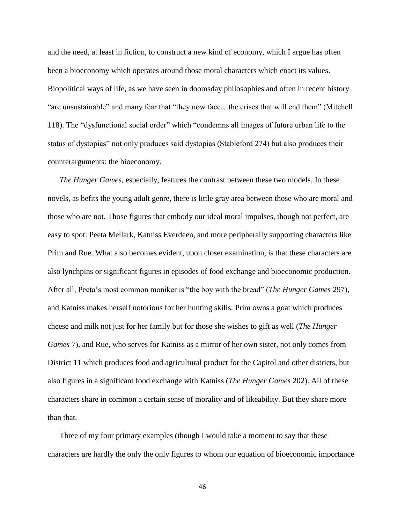and the need, at least in fiction, to construct a new kind of economy, which I argue has often been a bioeconomy which operates around those moral characters which enact its values. Biopolitical ways of life, as we have seen in doomsday philosophies and often in recent history "are unsustainable" and many fear that "they now face…the crises that will end them" (Mitchell 118). The "dysfunctional social order" which "condemns all images of future urban life to the status of dystopias" not only produces said dystopias (Stableford 274) but also produces their counterarguments: the bioeconomy.

*The Hunger Games*, especially, features the contrast between these two models. In these novels, as befits the young adult genre, there is little gray area between those who are moral and those who are not. Those figures that embody our ideal moral impulses, though not perfect, are easy to spot: Peeta Mellark, Katniss Everdeen, and more peripherally supporting characters like Prim and Rue. What also becomes evident, upon closer examination, is that these characters are also lynchpins or significant figures in episodes of food exchange and bioeconomic production. After all, Peeta's most common moniker is "the boy with the bread" (*The Hunger Games* 297), and Katniss makes herself notorious for her hunting skills. Prim owns a goat which produces cheese and milk not just for her family but for those she wishes to gift as well (*The Hunger Games* 7), and Rue, who serves for Katniss as a mirror of her own sister, not only comes from District 11 which produces food and agricultural product for the Capitol and other districts, but also figures in a significant food exchange with Katniss (*The Hunger Games* 202). All of these characters share in common a certain sense of morality and of likeability. But they share more than that.

Three of my four primary examples (though I would take a moment to say that these characters are hardly the only the only figures to whom our equation of bioeconomic importance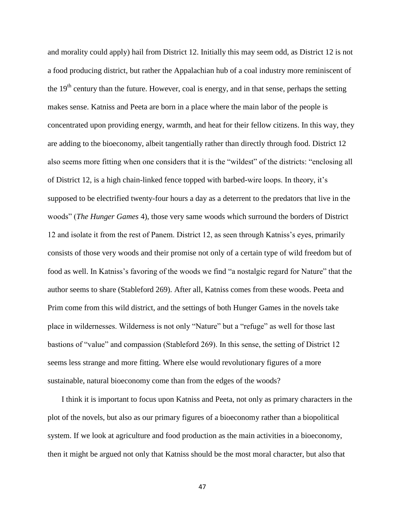and morality could apply) hail from District 12. Initially this may seem odd, as District 12 is not a food producing district, but rather the Appalachian hub of a coal industry more reminiscent of the  $19<sup>th</sup>$  century than the future. However, coal is energy, and in that sense, perhaps the setting makes sense. Katniss and Peeta are born in a place where the main labor of the people is concentrated upon providing energy, warmth, and heat for their fellow citizens. In this way, they are adding to the bioeconomy, albeit tangentially rather than directly through food. District 12 also seems more fitting when one considers that it is the "wildest" of the districts: "enclosing all of District 12, is a high chain-linked fence topped with barbed-wire loops. In theory, it's supposed to be electrified twenty-four hours a day as a deterrent to the predators that live in the woods" (*The Hunger Games* 4), those very same woods which surround the borders of District 12 and isolate it from the rest of Panem. District 12, as seen through Katniss's eyes, primarily consists of those very woods and their promise not only of a certain type of wild freedom but of food as well. In Katniss's favoring of the woods we find "a nostalgic regard for Nature" that the author seems to share (Stableford 269). After all, Katniss comes from these woods. Peeta and Prim come from this wild district, and the settings of both Hunger Games in the novels take place in wildernesses. Wilderness is not only "Nature" but a "refuge" as well for those last bastions of "value" and compassion (Stableford 269). In this sense, the setting of District 12 seems less strange and more fitting. Where else would revolutionary figures of a more sustainable, natural bioeconomy come than from the edges of the woods?

I think it is important to focus upon Katniss and Peeta, not only as primary characters in the plot of the novels, but also as our primary figures of a bioeconomy rather than a biopolitical system. If we look at agriculture and food production as the main activities in a bioeconomy, then it might be argued not only that Katniss should be the most moral character, but also that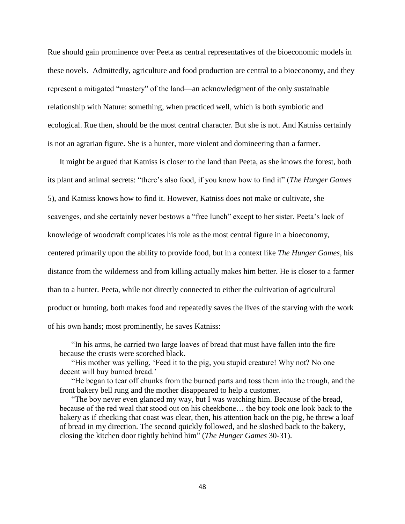Rue should gain prominence over Peeta as central representatives of the bioeconomic models in these novels. Admittedly, agriculture and food production are central to a bioeconomy, and they represent a mitigated "mastery" of the land—an acknowledgment of the only sustainable relationship with Nature: something, when practiced well, which is both symbiotic and ecological. Rue then, should be the most central character. But she is not. And Katniss certainly is not an agrarian figure. She is a hunter, more violent and domineering than a farmer.

It might be argued that Katniss is closer to the land than Peeta, as she knows the forest, both its plant and animal secrets: "there's also food, if you know how to find it" (*The Hunger Games* 5), and Katniss knows how to find it. However, Katniss does not make or cultivate, she scavenges, and she certainly never bestows a "free lunch" except to her sister. Peeta's lack of knowledge of woodcraft complicates his role as the most central figure in a bioeconomy, centered primarily upon the ability to provide food, but in a context like *The Hunger Games*, his distance from the wilderness and from killing actually makes him better. He is closer to a farmer than to a hunter. Peeta, while not directly connected to either the cultivation of agricultural product or hunting, both makes food and repeatedly saves the lives of the starving with the work of his own hands; most prominently, he saves Katniss:

"In his arms, he carried two large loaves of bread that must have fallen into the fire because the crusts were scorched black.

"His mother was yelling, 'Feed it to the pig, you stupid creature! Why not? No one decent will buy burned bread.'

"He began to tear off chunks from the burned parts and toss them into the trough, and the front bakery bell rung and the mother disappeared to help a customer.

"The boy never even glanced my way, but I was watching him. Because of the bread, because of the red weal that stood out on his cheekbone… the boy took one look back to the bakery as if checking that coast was clear, then, his attention back on the pig, he threw a loaf of bread in my direction. The second quickly followed, and he sloshed back to the bakery, closing the kitchen door tightly behind him" (*The Hunger Games* 30-31).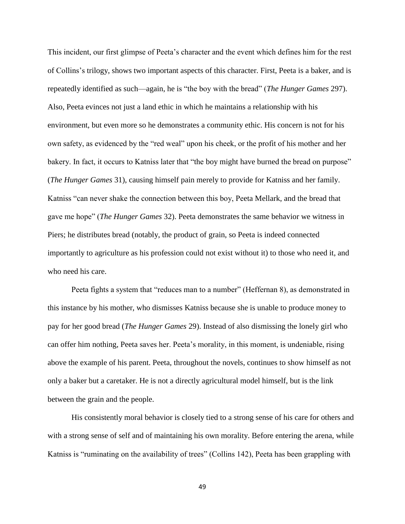This incident, our first glimpse of Peeta's character and the event which defines him for the rest of Collins's trilogy, shows two important aspects of this character. First, Peeta is a baker, and is repeatedly identified as such—again, he is "the boy with the bread" (*The Hunger Games* 297). Also, Peeta evinces not just a land ethic in which he maintains a relationship with his environment, but even more so he demonstrates a community ethic. His concern is not for his own safety, as evidenced by the "red weal" upon his cheek, or the profit of his mother and her bakery. In fact, it occurs to Katniss later that "the boy might have burned the bread on purpose" (*The Hunger Games* 31), causing himself pain merely to provide for Katniss and her family. Katniss "can never shake the connection between this boy, Peeta Mellark, and the bread that gave me hope" (*The Hunger Games* 32). Peeta demonstrates the same behavior we witness in Piers; he distributes bread (notably, the product of grain, so Peeta is indeed connected importantly to agriculture as his profession could not exist without it) to those who need it, and who need his care.

Peeta fights a system that "reduces man to a number" (Heffernan 8), as demonstrated in this instance by his mother, who dismisses Katniss because she is unable to produce money to pay for her good bread (*The Hunger Games* 29). Instead of also dismissing the lonely girl who can offer him nothing, Peeta saves her. Peeta's morality, in this moment, is undeniable, rising above the example of his parent. Peeta, throughout the novels, continues to show himself as not only a baker but a caretaker. He is not a directly agricultural model himself, but is the link between the grain and the people.

His consistently moral behavior is closely tied to a strong sense of his care for others and with a strong sense of self and of maintaining his own morality. Before entering the arena, while Katniss is "ruminating on the availability of trees" (Collins 142), Peeta has been grappling with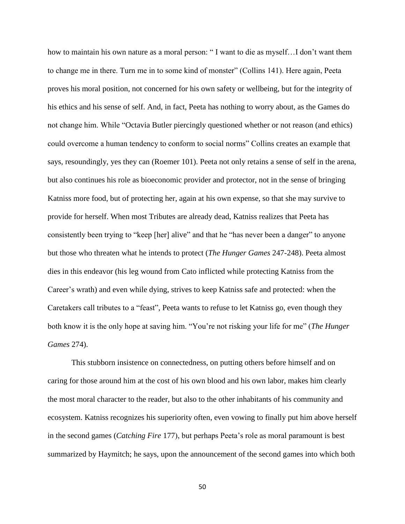how to maintain his own nature as a moral person: "I want to die as myself...I don't want them to change me in there. Turn me in to some kind of monster" (Collins 141). Here again, Peeta proves his moral position, not concerned for his own safety or wellbeing, but for the integrity of his ethics and his sense of self. And, in fact, Peeta has nothing to worry about, as the Games do not change him. While "Octavia Butler piercingly questioned whether or not reason (and ethics) could overcome a human tendency to conform to social norms" Collins creates an example that says, resoundingly, yes they can (Roemer 101). Peeta not only retains a sense of self in the arena, but also continues his role as bioeconomic provider and protector, not in the sense of bringing Katniss more food, but of protecting her, again at his own expense, so that she may survive to provide for herself. When most Tributes are already dead, Katniss realizes that Peeta has consistently been trying to "keep [her] alive" and that he "has never been a danger" to anyone but those who threaten what he intends to protect (*The Hunger Games* 247-248). Peeta almost dies in this endeavor (his leg wound from Cato inflicted while protecting Katniss from the Career's wrath) and even while dying, strives to keep Katniss safe and protected: when the Caretakers call tributes to a "feast", Peeta wants to refuse to let Katniss go, even though they both know it is the only hope at saving him. "You're not risking your life for me" (*The Hunger Games* 274).

This stubborn insistence on connectedness, on putting others before himself and on caring for those around him at the cost of his own blood and his own labor, makes him clearly the most moral character to the reader, but also to the other inhabitants of his community and ecosystem. Katniss recognizes his superiority often, even vowing to finally put him above herself in the second games (*Catching Fire* 177), but perhaps Peeta's role as moral paramount is best summarized by Haymitch; he says, upon the announcement of the second games into which both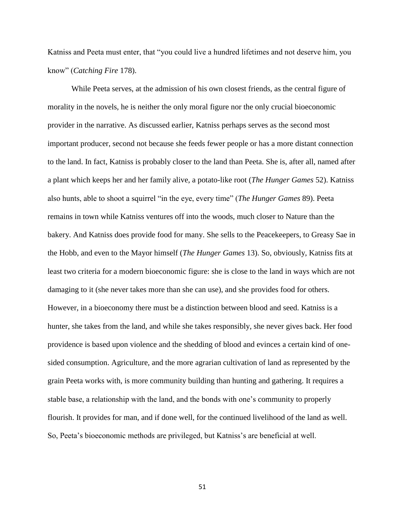Katniss and Peeta must enter, that "you could live a hundred lifetimes and not deserve him, you know" (*Catching Fire* 178).

While Peeta serves, at the admission of his own closest friends, as the central figure of morality in the novels, he is neither the only moral figure nor the only crucial bioeconomic provider in the narrative. As discussed earlier, Katniss perhaps serves as the second most important producer, second not because she feeds fewer people or has a more distant connection to the land. In fact, Katniss is probably closer to the land than Peeta. She is, after all, named after a plant which keeps her and her family alive, a potato-like root (*The Hunger Games* 52). Katniss also hunts, able to shoot a squirrel "in the eye, every time" (*The Hunger Games* 89). Peeta remains in town while Katniss ventures off into the woods, much closer to Nature than the bakery. And Katniss does provide food for many. She sells to the Peacekeepers, to Greasy Sae in the Hobb, and even to the Mayor himself (*The Hunger Games* 13). So, obviously, Katniss fits at least two criteria for a modern bioeconomic figure: she is close to the land in ways which are not damaging to it (she never takes more than she can use), and she provides food for others. However, in a bioeconomy there must be a distinction between blood and seed. Katniss is a hunter, she takes from the land, and while she takes responsibly, she never gives back. Her food providence is based upon violence and the shedding of blood and evinces a certain kind of onesided consumption. Agriculture, and the more agrarian cultivation of land as represented by the grain Peeta works with, is more community building than hunting and gathering. It requires a stable base, a relationship with the land, and the bonds with one's community to properly flourish. It provides for man, and if done well, for the continued livelihood of the land as well. So, Peeta's bioeconomic methods are privileged, but Katniss's are beneficial at well.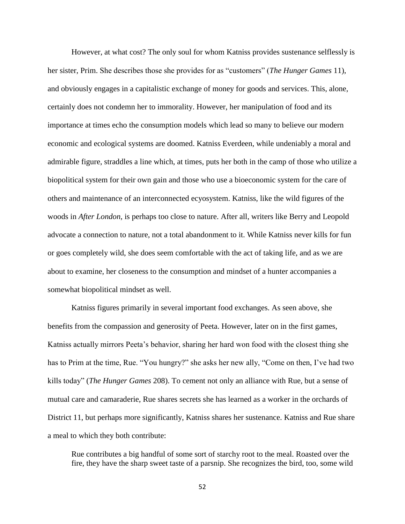However, at what cost? The only soul for whom Katniss provides sustenance selflessly is her sister, Prim. She describes those she provides for as "customers" (*The Hunger Games* 11), and obviously engages in a capitalistic exchange of money for goods and services. This, alone, certainly does not condemn her to immorality. However, her manipulation of food and its importance at times echo the consumption models which lead so many to believe our modern economic and ecological systems are doomed. Katniss Everdeen, while undeniably a moral and admirable figure, straddles a line which, at times, puts her both in the camp of those who utilize a biopolitical system for their own gain and those who use a bioeconomic system for the care of others and maintenance of an interconnected ecyosystem. Katniss, like the wild figures of the woods in *After London*, is perhaps too close to nature. After all, writers like Berry and Leopold advocate a connection to nature, not a total abandonment to it. While Katniss never kills for fun or goes completely wild, she does seem comfortable with the act of taking life, and as we are about to examine, her closeness to the consumption and mindset of a hunter accompanies a somewhat biopolitical mindset as well.

Katniss figures primarily in several important food exchanges. As seen above, she benefits from the compassion and generosity of Peeta. However, later on in the first games, Katniss actually mirrors Peeta's behavior, sharing her hard won food with the closest thing she has to Prim at the time, Rue. "You hungry?" she asks her new ally, "Come on then, I've had two kills today" (*The Hunger Games* 208). To cement not only an alliance with Rue, but a sense of mutual care and camaraderie, Rue shares secrets she has learned as a worker in the orchards of District 11, but perhaps more significantly, Katniss shares her sustenance. Katniss and Rue share a meal to which they both contribute:

Rue contributes a big handful of some sort of starchy root to the meal. Roasted over the fire, they have the sharp sweet taste of a parsnip. She recognizes the bird, too, some wild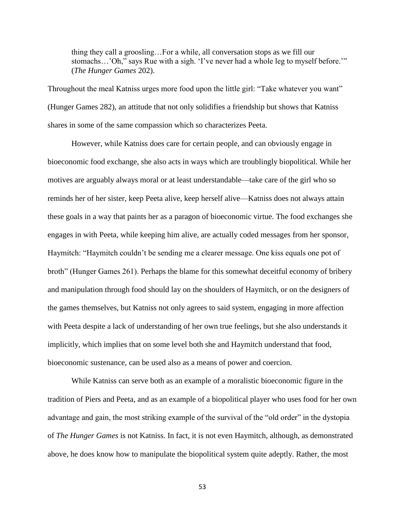thing they call a groosling…For a while, all conversation stops as we fill our stomachs…'Oh," says Rue with a sigh. 'I've never had a whole leg to myself before.'" (*The Hunger Games* 202).

Throughout the meal Katniss urges more food upon the little girl: "Take whatever you want" (Hunger Games 282), an attitude that not only solidifies a friendship but shows that Katniss shares in some of the same compassion which so characterizes Peeta.

However, while Katniss does care for certain people, and can obviously engage in bioeconomic food exchange, she also acts in ways which are troublingly biopolitical. While her motives are arguably always moral or at least understandable—take care of the girl who so reminds her of her sister, keep Peeta alive, keep herself alive—Katniss does not always attain these goals in a way that paints her as a paragon of bioeconomic virtue. The food exchanges she engages in with Peeta, while keeping him alive, are actually coded messages from her sponsor, Haymitch: "Haymitch couldn't be sending me a clearer message. One kiss equals one pot of broth" (Hunger Games 261). Perhaps the blame for this somewhat deceitful economy of bribery and manipulation through food should lay on the shoulders of Haymitch, or on the designers of the games themselves, but Katniss not only agrees to said system, engaging in more affection with Peeta despite a lack of understanding of her own true feelings, but she also understands it implicitly, which implies that on some level both she and Haymitch understand that food, bioeconomic sustenance, can be used also as a means of power and coercion.

While Katniss can serve both as an example of a moralistic bioeconomic figure in the tradition of Piers and Peeta, and as an example of a biopolitical player who uses food for her own advantage and gain, the most striking example of the survival of the "old order" in the dystopia of *The Hunger Games* is not Katniss. In fact, it is not even Haymitch, although, as demonstrated above, he does know how to manipulate the biopolitical system quite adeptly. Rather, the most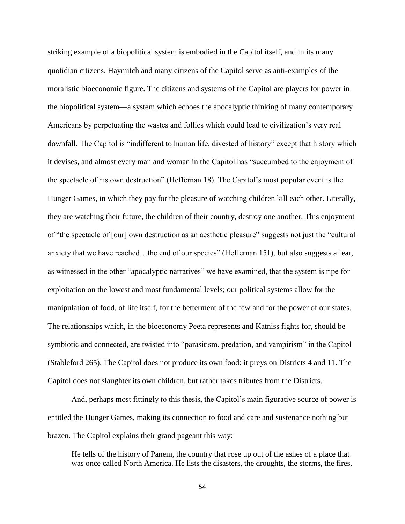striking example of a biopolitical system is embodied in the Capitol itself, and in its many quotidian citizens. Haymitch and many citizens of the Capitol serve as anti-examples of the moralistic bioeconomic figure. The citizens and systems of the Capitol are players for power in the biopolitical system—a system which echoes the apocalyptic thinking of many contemporary Americans by perpetuating the wastes and follies which could lead to civilization's very real downfall. The Capitol is "indifferent to human life, divested of history" except that history which it devises, and almost every man and woman in the Capitol has "succumbed to the enjoyment of the spectacle of his own destruction" (Heffernan 18). The Capitol's most popular event is the Hunger Games, in which they pay for the pleasure of watching children kill each other. Literally, they are watching their future, the children of their country, destroy one another. This enjoyment of "the spectacle of [our] own destruction as an aesthetic pleasure" suggests not just the "cultural anxiety that we have reached…the end of our species" (Heffernan 151), but also suggests a fear, as witnessed in the other "apocalyptic narratives" we have examined, that the system is ripe for exploitation on the lowest and most fundamental levels; our political systems allow for the manipulation of food, of life itself, for the betterment of the few and for the power of our states. The relationships which, in the bioeconomy Peeta represents and Katniss fights for, should be symbiotic and connected, are twisted into "parasitism, predation, and vampirism" in the Capitol (Stableford 265). The Capitol does not produce its own food: it preys on Districts 4 and 11. The Capitol does not slaughter its own children, but rather takes tributes from the Districts.

And, perhaps most fittingly to this thesis, the Capitol's main figurative source of power is entitled the Hunger Games, making its connection to food and care and sustenance nothing but brazen. The Capitol explains their grand pageant this way:

He tells of the history of Panem, the country that rose up out of the ashes of a place that was once called North America. He lists the disasters, the droughts, the storms, the fires,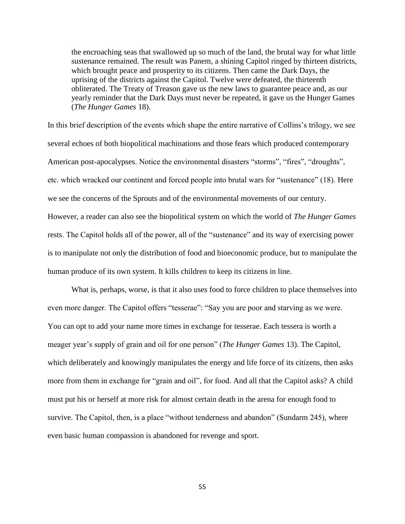the encroaching seas that swallowed up so much of the land, the brutal way for what little sustenance remained. The result was Panem, a shining Capitol ringed by thirteen districts, which brought peace and prosperity to its citizens. Then came the Dark Days, the uprising of the districts against the Capitol. Twelve were defeated, the thirteenth obliterated. The Treaty of Treason gave us the new laws to guarantee peace and, as our yearly reminder that the Dark Days must never be repeated, it gave us the Hunger Games (*The Hunger Games* 18).

In this brief description of the events which shape the entire narrative of Collins's trilogy, we see several echoes of both biopolitical machinations and those fears which produced contemporary American post-apocalypses. Notice the environmental disasters "storms", "fires", "droughts", etc. which wracked our continent and forced people into brutal wars for "sustenance" (18). Here we see the concerns of the Sprouts and of the environmental movements of our century. However, a reader can also see the biopolitical system on which the world of *The Hunger Games*  rests. The Capitol holds all of the power, all of the "sustenance" and its way of exercising power is to manipulate not only the distribution of food and bioeconomic produce, but to manipulate the human produce of its own system. It kills children to keep its citizens in line.

What is, perhaps, worse, is that it also uses food to force children to place themselves into even more danger. The Capitol offers "tesserae": "Say you are poor and starving as we were. You can opt to add your name more times in exchange for tesserae. Each tessera is worth a meager year's supply of grain and oil for one person" (*The Hunger Games* 13). The Capitol, which deliberately and knowingly manipulates the energy and life force of its citizens, then asks more from them in exchange for "grain and oil", for food. And all that the Capitol asks? A child must put his or herself at more risk for almost certain death in the arena for enough food to survive. The Capitol, then, is a place "without tenderness and abandon" (Sundarm 245), where even basic human compassion is abandoned for revenge and sport.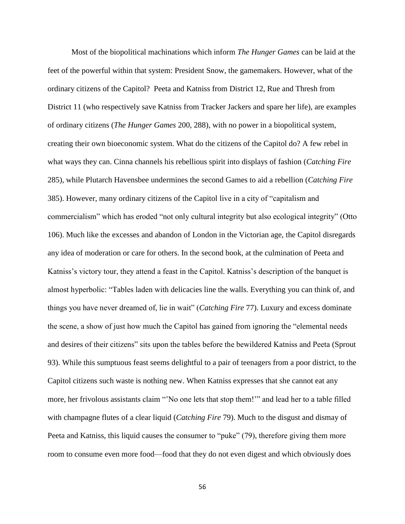Most of the biopolitical machinations which inform *The Hunger Games* can be laid at the feet of the powerful within that system: President Snow, the gamemakers. However, what of the ordinary citizens of the Capitol? Peeta and Katniss from District 12, Rue and Thresh from District 11 (who respectively save Katniss from Tracker Jackers and spare her life), are examples of ordinary citizens (*The Hunger Games* 200, 288), with no power in a biopolitical system, creating their own bioeconomic system. What do the citizens of the Capitol do? A few rebel in what ways they can. Cinna channels his rebellious spirit into displays of fashion (*Catching Fire* 285), while Plutarch Havensbee undermines the second Games to aid a rebellion (*Catching Fire* 385). However, many ordinary citizens of the Capitol live in a city of "capitalism and commercialism" which has eroded "not only cultural integrity but also ecological integrity" (Otto 106). Much like the excesses and abandon of London in the Victorian age, the Capitol disregards any idea of moderation or care for others. In the second book, at the culmination of Peeta and Katniss's victory tour, they attend a feast in the Capitol. Katniss's description of the banquet is almost hyperbolic: "Tables laden with delicacies line the walls. Everything you can think of, and things you have never dreamed of, lie in wait" (*Catching Fire* 77). Luxury and excess dominate the scene, a show of just how much the Capitol has gained from ignoring the "elemental needs and desires of their citizens" sits upon the tables before the bewildered Katniss and Peeta (Sprout 93). While this sumptuous feast seems delightful to a pair of teenagers from a poor district, to the Capitol citizens such waste is nothing new. When Katniss expresses that she cannot eat any more, her frivolous assistants claim "'No one lets that stop them!'" and lead her to a table filled with champagne flutes of a clear liquid (*Catching Fire* 79). Much to the disgust and dismay of Peeta and Katniss, this liquid causes the consumer to "puke" (79), therefore giving them more room to consume even more food—food that they do not even digest and which obviously does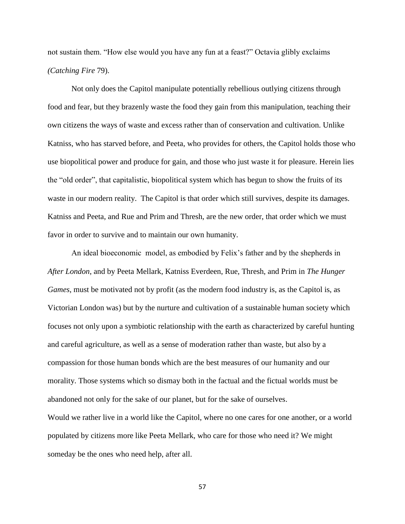not sustain them. "How else would you have any fun at a feast?" Octavia glibly exclaims *(Catching Fire* 79).

Not only does the Capitol manipulate potentially rebellious outlying citizens through food and fear, but they brazenly waste the food they gain from this manipulation, teaching their own citizens the ways of waste and excess rather than of conservation and cultivation. Unlike Katniss, who has starved before, and Peeta, who provides for others, the Capitol holds those who use biopolitical power and produce for gain, and those who just waste it for pleasure. Herein lies the "old order", that capitalistic, biopolitical system which has begun to show the fruits of its waste in our modern reality. The Capitol is that order which still survives, despite its damages. Katniss and Peeta, and Rue and Prim and Thresh, are the new order, that order which we must favor in order to survive and to maintain our own humanity.

An ideal bioeconomic model, as embodied by Felix's father and by the shepherds in *After London*, and by Peeta Mellark, Katniss Everdeen, Rue, Thresh, and Prim in *The Hunger Games*, must be motivated not by profit (as the modern food industry is, as the Capitol is, as Victorian London was) but by the nurture and cultivation of a sustainable human society which focuses not only upon a symbiotic relationship with the earth as characterized by careful hunting and careful agriculture, as well as a sense of moderation rather than waste, but also by a compassion for those human bonds which are the best measures of our humanity and our morality. Those systems which so dismay both in the factual and the fictual worlds must be abandoned not only for the sake of our planet, but for the sake of ourselves.

Would we rather live in a world like the Capitol, where no one cares for one another, or a world populated by citizens more like Peeta Mellark, who care for those who need it? We might someday be the ones who need help, after all.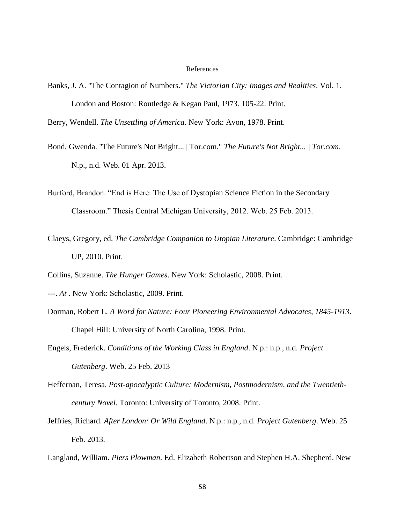#### References

Banks, J. A. "The Contagion of Numbers." *The Victorian City: Images and Realities*. Vol. 1. London and Boston: Routledge & Kegan Paul, 1973. 105-22. Print.

Berry, Wendell. *The Unsettling of America*. New York: Avon, 1978. Print.

- Bond, Gwenda. "The Future's Not Bright... | Tor.com." *The Future's Not Bright... | Tor.com*. N.p., n.d. Web. 01 Apr. 2013.
- Burford, Brandon. "End is Here: The Use of Dystopian Science Fiction in the Secondary Classroom." Thesis Central Michigan University, 2012. Web. 25 Feb. 2013.
- Claeys, Gregory, ed. *The Cambridge Companion to Utopian Literature*. Cambridge: Cambridge UP, 2010. Print.
- Collins, Suzanne. *The Hunger Games*. New York: Scholastic, 2008. Print.
- ---. *At* . New York: Scholastic, 2009. Print.
- Dorman, Robert L. *A Word for Nature: Four Pioneering Environmental Advocates, 1845-1913*. Chapel Hill: University of North Carolina, 1998. Print.
- Engels, Frederick. *Conditions of the Working Class in England*. N.p.: n.p., n.d. *Project Gutenberg*. Web. 25 Feb. 2013
- Heffernan, Teresa. *Post-apocalyptic Culture: Modernism, Postmodernism, and the Twentiethcentury Novel*. Toronto: University of Toronto, 2008. Print.
- Jeffries, Richard. *After London: Or Wild England*. N.p.: n.p., n.d. *Project Gutenberg*. Web. 25 Feb. 2013.
- Langland, William. *Piers Plowman*. Ed. Elizabeth Robertson and Stephen H.A. Shepherd. New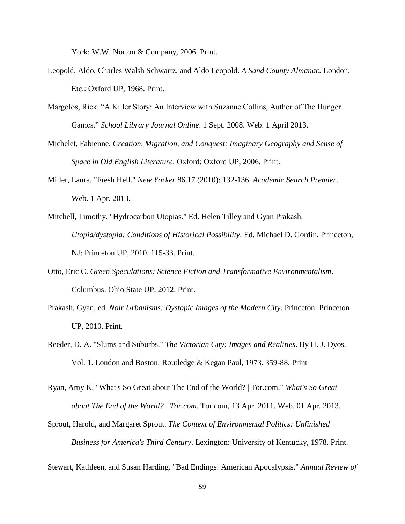York: W.W. Norton & Company, 2006. Print.

- Leopold, Aldo, Charles Walsh Schwartz, and Aldo Leopold. *A Sand County Almanac.* London, Etc.: Oxford UP, 1968. Print.
- Margolos, Rick. "A Killer Story: An Interview with Suzanne Collins, Author of The Hunger Games." *School Library Journal Online*. 1 Sept. 2008. Web. 1 April 2013.
- Michelet, Fabienne. *Creation, Migration, and Conquest: Imaginary Geography and Sense of Space in Old English Literature*. Oxford: Oxford UP, 2006. Print.
- Miller, Laura. "Fresh Hell." *New Yorker* 86.17 (2010): 132-136. *Academic Search Premier*. Web. 1 Apr. 2013.
- Mitchell, Timothy. "Hydrocarbon Utopias." Ed. Helen Tilley and Gyan Prakash. *Utopia/dystopia: Conditions of Historical Possibility*. Ed. Michael D. Gordin. Princeton, NJ: Princeton UP, 2010. 115-33. Print.
- Otto, Eric C. *Green Speculations: Science Fiction and Transformative Environmentalism*. Columbus: Ohio State UP, 2012. Print.
- Prakash, Gyan, ed. *Noir Urbanisms: Dystopic Images of the Modern City*. Princeton: Princeton UP, 2010. Print.
- Reeder, D. A. "Slums and Suburbs." *The Victorian City: Images and Realities*. By H. J. Dyos. Vol. 1. London and Boston: Routledge & Kegan Paul, 1973. 359-88. Print
- Ryan, Amy K. "What's So Great about The End of the World? | Tor.com." *What's So Great about The End of the World? | Tor.com*. Tor.com, 13 Apr. 2011. Web. 01 Apr. 2013.
- Sprout, Harold, and Margaret Sprout. *The Context of Environmental Politics: Unfinished Business for America's Third Century*. Lexington: University of Kentucky, 1978. Print.

Stewart, Kathleen, and Susan Harding. "Bad Endings: American Apocalypsis." *Annual Review of*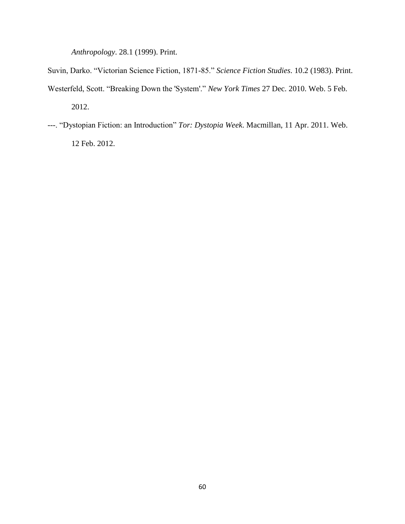*Anthropology*. 28.1 (1999). Print.

Suvin, Darko. "Victorian Science Fiction, 1871-85." *Science Fiction Studies*. 10.2 (1983). Print. Westerfeld, Scott. "Breaking Down the 'System'." *New York Times* 27 Dec. 2010. Web. 5 Feb. 2012.

---. "Dystopian Fiction: an Introduction" *Tor: Dystopia Week*. Macmillan, 11 Apr. 2011. Web. 12 Feb. 2012.